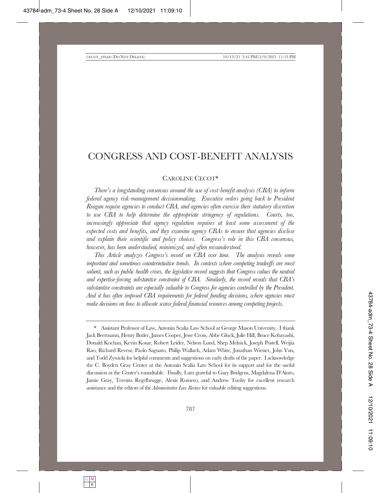# CONGRESS AND COST-BENEFIT ANALYSIS

### CAROLINE CECOT\*

There's a longstanding consensus around the use of cost-benefit analysis (CBA) to inform *federal agency risk-management decisionmaking. Executive orders going back to President* Reagan require agencies to conduct CBA, and agencies often exercise their statutory discretion *to use CBA to help determine the appropriate stringency of regulations. Courts, too, increasingly appreciate that agency regulation requires at least some assessment of the* expected costs and benefits, and they examine agency CBAs to ensure that agencies disclose and explain their scientific and policy choices. Congress's role in this CBA consensus, *however, has been understudied, minimized, and often misunderstood.* 

*This Article analyzes Congress's record on CBA over time. The analysis reveals some important and sometimes counterintuitive trends. In contexts where competing tradeoffs are most salient, such as public health crises, the legislative record suggests that Congress values the neutral* and expertise-forcing substantive constraint of CBA. Similarly, the record reveals that  $CBA's$  $Substantive$  constraints are especially valuable to Congress for agencies controlled by the President. And it has often imposed CBA requirements for federal funding decisions, where agencies must make decisions on how to allocate scarce federal financial resources among competing projects.

Assistant Professor of Law, Antonin Scalia Law School at George Mason University. I thank Jack Beermann, Henry Butler, James Cooper, Jesse Cross, Abbe Gluck, Julie Hill, Bruce Kobayashi, Donald Kochan, Kevin Kosar, Robert Leider, Nelson Lund, Shep Melnick, Joseph Postell, Weijia Rao, Richard Revesz, Paolo Saguato, Philip Wallach, Adam White, Jonathan Wiener, John Yun, and Todd Zywicki for helpful comments and suggestions on early drafts of the paper. I acknowledge the C. Boyden Gray Center at the Antonin Scalia Law School for its support and for the useful discussion at the Center's roundtable. Finally, I am grateful to Gary Bridgens, Magdalena D'Aiuto, Iamie Gray, Teresita Regelbrugge, Alexis Romero, and Andrew Tuohy for excellent research assistance and the editors of the *Administrative Law Review* for valuable editing suggestions.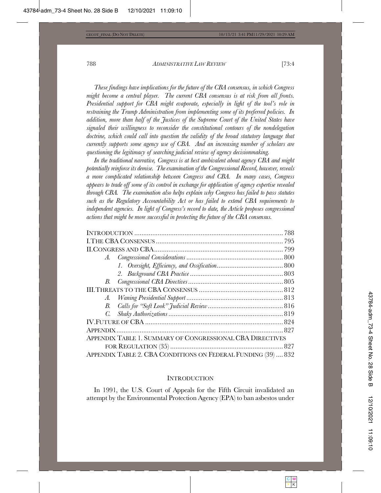These findings have implications for the future of the CBA consensus, in which Congress might become a central player. The current CBA consensus is at risk from all fronts. Presidential support for CBA might evaporate, especially in light of the tool's role in *zestraining the Trump Administration from implementing some of its preferred policies. In Inddition, more than half of the Justices of the Supreme Court of the United States have* signaled their willingness to reconsider the constitutional contours of the nondelegation doctrine, which could call into question the validity of the broad statutory language that *currently supports some agency use of CBA. And an increasing number of scholars are* questioning the legitimacy of searching judicial review of agency decisionmaking.

In the traditional narrative, Congress is at best ambivalent about agency CBA and might potentially reinforce its demise. The examination of the Congressional Record, however, reveals a more complicated relationship between Congress and CBA. In many cases, Congress appears to trade off some of its control in exchange for application of agency expertise revealed *through CBA.* The examination also helps explain why Congress has failed to pass statutes *fuch as the Regulatory Accountability Act or has failed to extend CBA requirements to* independent agencies. In light of Congress's record to date, the Article proposes congressional *actions that might be more successful in protecting the future of the CBA consensus.* 

| B. |                                                               |  |
|----|---------------------------------------------------------------|--|
|    |                                                               |  |
|    |                                                               |  |
| В. |                                                               |  |
|    |                                                               |  |
|    |                                                               |  |
|    |                                                               |  |
|    | APPENDIX TABLE 1. SUMMARY OF CONGRESSIONAL CBA DIRECTIVES     |  |
|    |                                                               |  |
|    | APPENDIX TABLE 2. CBA CONDITIONS ON FEDERAL FUNDING (39)  832 |  |

#### INTRODUCTION

In 1991, the U.S. Court of Appeals for the Fifth Circuit invalidated an attempt by the Environmental Protection Agency (EPA) to ban asbestos under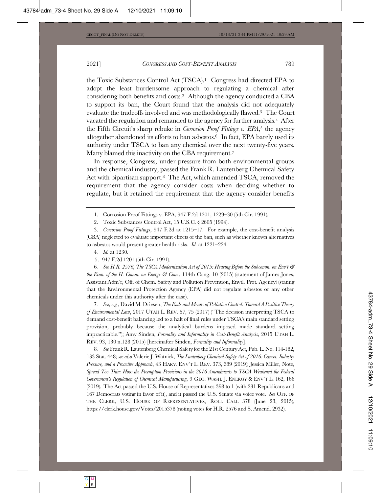the Toxic Substances Control Act  $(TSCA)^1$  Congress had directed EPA to adopt the least burdensome approach to regulating a chemical after considering both benefits and costs.<sup>2</sup> Although the agency conducted a CBA to support its ban, the Court found that the analysis did not adequately evaluate the tradeoffs involved and was methodologically flawed.<sup>3</sup> The Court vacated the regulation and remanded to the agency for further analysis.<sup>4</sup> After the Fifth Circuit's sharp rebuke in *Corrosion Proof Fittings v. EPA*,<sup>5</sup> the agency altogether abandoned its efforts to ban asbestos.<sup>6</sup> In fact, EPA barely used its authority under TSCA to ban any chemical over the next twenty-five years. Many blamed this inactivity on the CBA requirement.<sup>7</sup>

In response, Congress, under pressure from both environmental groups and the chemical industry, passed the Frank R. Lautenberg Chemical Safety Act with bipartisan support.<sup>8</sup> The Act, which amended TSCA, removed the requirement that the agency consider costs when deciding whether to regulate, but it retained the requirement that the agency consider benefits

1. Corrosion Proof Fittings v. EPA, 947 F.2d 1201, 1229-30 (5th Cir. 1991).

2. Toxic Substances Control Act,  $15$  U.S.C.  $\S$  2605 (1994).

3. Corrosion Proof Fittings, 947 F.2d at 1215–17. For example, the cost-benefit analysis (CBA) neglected to evaluate important effects of the ban, such as whether known alternatives to asbestos would present greater health risks.  $\mathcal{I}d$ . at 1221–224.

4. *Id.* at 1230.

5. 947 F.2d 1201 (5th Cir. 1991).

**6.** See H.R. 2576, The TSCA Modernization Act of 2015: Hearing Before the Subcomm. on Env't & *the Econ. of the H. Comm. on Energy*  $\mathcal{C}$  *Com.*, 114th Cong. 10 (2015) (statement of James Jones, Assistant Adm'r, Off. of Chem. Safety and Pollution Prevention, Envtl. Prot. Agency) (stating that the Environmental Protection Agency (EPA) did not regulate asbestos or any other chemicals under this authority after the case).

7. *See, e.g., David M. Driesen, The Ends and Means of Pollution Control: Toward A Positive Theory* of Environmental Law, 2017 UTAH L. REV. 57, 75 (2017) ("The decision interpreting TSCA to demand cost-benefit balancing led to a halt of final rules under TSCA's main standard setting provision, probably because the analytical burdens imposed made standard setting impracticable."); Amy Sinden, Formality and Informality in Cost-Benefit Analysis, 2015 UTAH L. REV. 93, 130 n.128 (2015) [hereinafter Sinden, Formality and Informality].

8. See Frank R. Lautenberg Chemical Safety for the 21st Century Act, Pub. L. No. 114-182, 133 Stat. 448; see also Valerie J. Watnick, The Lautenberg Chemical Safety Act of 2016: Cancer, Industry *Pressure, and a Proactive Approach*, 43 HARV. ENV'T L. REV. 373, 389 (2019); Jessica Miller, Note, Spread Too Thin: How the Preemption Provisions in the 2016 Amendments to TSCA Weakened the Federal *Government's Regulation of Chemical Manufacturing*, 9 GEO. WASH. J. ENERGY & ENV'T L. 162, 166  $(2019)$ . The Act passed the U.S. House of Representatives 398 to 1 (with 231 Republicans and 167 Democrats voting in favor of it), and it passed the U.S. Senate via voice vote. See OFF. OF THE CLERK, U.S. HOUSE OF REPRESENTATIVES, ROLL CALL 378 (June 23, 2015), https://clerk.house.gov/Votes/2015378 (noting votes for H.R. 2576 and S. Amend. 2932).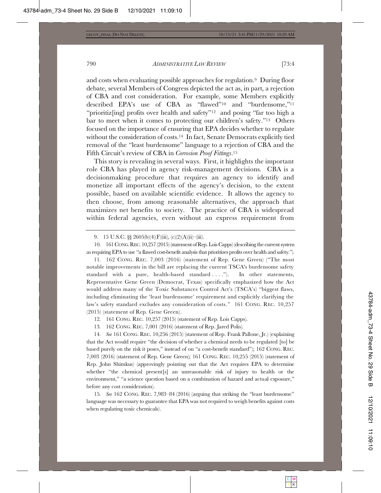and costs when evaluating possible approaches for regulation.<sup>9</sup> During floor debate, several Members of Congress depicted the act as, in part, a rejection of CBA and cost consideration. For example, some Members explicitly described EPA's use of CBA as "flawed"<sup>10</sup> and "burdensome,"<sup>11</sup> "prioritiz[ing] profits over health and safety"<sup>12</sup> and posing "far too high a bar to meet when it comes to protecting our children's safety."<sup>13</sup> Others focused on the importance of ensuring that EPA decides whether to regulate without the consideration of costs.<sup>14</sup> In fact, Senate Democrats explicitly tied removal of the "least burdensome" language to a rejection of CBA and the Fifth Circuit's review of CBA in *Corrosion Proof Fittings*.<sup>15</sup>

This story is revealing in several ways. First, it highlights the important role CBA has played in agency risk-management decisions. CBA is a decision making procedure that requires an agency to identify and monetize all important effects of the agency's decision, to the extent possible, based on available scientific evidence. It allows the agency to then choose, from among reasonable alternatives, the approach that maximizes net benefits to society. The practice of CBA is widespread within federal agencies, even without an express requirement from

11. 162 CONG. REC. 7,003 (2016) (statement of Rep. Gene Green) ("The most notable improvements in the bill are replacing the current TSCA's burdensome safety standard with a pure, health-based standard ...."). In other statements, Representative Gene Green (Democrat, Texas) specifically emphasized how the Act would address many of the Toxic Substances Control Act's (TSCA's) "biggest flaws, including eliminating the 'least burdensome' requirement and explicitly clarifying the law's safety standard excludes any consideration of costs." 161 CONG. REC. 10,257  $(2015)$  (statement of Rep. Gene Green).

12. 161 CONG. REC. 10,257 (2015) (statement of Rep. Lois Capps).

13. 162 CONG. REC. 7,001 (2016) (statement of Rep. Jared Polis).

14. See 161 CONG. REC. 10,256 (2015) (statement of Rep. Frank Pallone, Jr.) (explaining that the Act would require "the decision of whether a chemical needs to be regulated  $[t\sigma]$  be based purely on the risk it poses," instead of on "a cost-benefit standard");  $162$  CONG. REC.  $7,003$  (2016) (statement of Rep. Gene Green); 161 CONG. REC. 10,255 (2015) (statement of  $\mathbb{R}$ ep. John Shimkus) (approvingly pointing out that the Act requires EPA to determine whether "the chemical present [s] an unreasonable risk of injury to health or the environment," "a science question based on a combination of hazard and actual exposure," before any cost consideration).

15. See 162 CONG. REC. 7,983-84 (2016) (arguing that striking the "least burdensome" language was necessary to guarantee that EPA was not required to weigh benefits against costs when regulating toxic chemicals).

<sup>9. 15</sup> U.S.C.  $\S\S 2605(b)(4)(F)(iii)$ , (c)(2)(A)(ii)-(iii).

<sup>10. 161</sup> CONG. REC. 10,257 (2015) (statement of Rep. Lois Capps) (describing the current system as requiring EPA to use "a flawed cost-benefit analysis that prioritizes profits over health and safety.").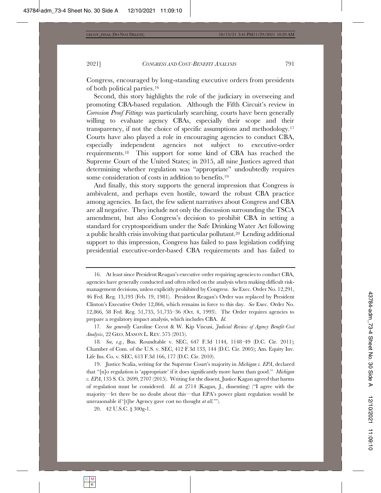Congress, encouraged by long-standing executive orders from presidents of both political parties.<sup>16</sup>

Second, this story highlights the role of the judiciary in overseeing and promoting CBA-based regulation. Although the Fifth Circuit's review in *Corrosion Proof Fittings* was particularly searching, courts have been generally willing to evaluate agency CBAs, especially their scope and their transparency, if not the choice of specific assumptions and methodology.<sup>17</sup> Courts have also played a role in encouraging agencies to conduct CBA, especially independent agencies not subject to executive-order requirements.<sup>18</sup> This support for some kind of CBA has reached the Supreme Court of the United States; in 2015, all nine Justices agreed that determining whether regulation was "appropriate" undoubtedly requires some consideration of costs in addition to benefits.<sup>19</sup>

And finally, this story supports the general impression that Congress is ambivalent, and perhaps even hostile, toward the robust CBA practice among agencies. In fact, the few salient narratives about Congress and CBA are all negative. They include not only the discussion surrounding the  $TSCA$ amendment, but also Congress's decision to prohibit CBA in setting a standard for cryptosporidium under the Safe Drinking Water Act following a public health crisis involving that particular pollutant.<sup>20</sup> Lending additional support to this impression, Congress has failed to pass legislation codifying presidential executive-order-based CBA requirements and has failed to

<sup>16.</sup> At least since President Reagan's executive order requiring agencies to conduct CBA, agencies have generally conducted and often relied on the analysis when making difficult riskmanagement decisions, unless explicitly prohibited by Congress. See Exec. Order No. 12,291, 46 Fed. Reg. 13,193 (Feb. 19, 1981). President Reagan's Order was replaced by President Clinton's Executive Order 12,866, which remains in force to this day. See Exec. Order No.  $12,866, 58$  Fed. Reg.  $51,735, 51,735-36$  (Oct. 4, 1993). The Order requires agencies to prepare a regulatory impact analysis, which includes CBA. *Id.* 

<sup>17.</sup> See generally Caroline Cecot & W. Kip Viscusi, *Judicial Review of Agency Benefit-Cost Analysis*, 22 GEO. MASON L. REV. 575 (2015).

<sup>18.</sup> See, e.g., Bus. Roundtable v. SEC, 647 F.3d 1144, 1148-49 (D.C. Cir. 2011); Chamber of Com. of the U.S. v. SEC,  $412$  F.3d 133, 144 (D.C. Cir. 2005); Am. Equity Inv. Life Ins. Co. v. SEC, 613 F.3d 166, 177 (D.C. Cir. 2010).

<sup>19.</sup> Justice Scalia, writing for the Supreme Court's majority in *Michigan v. EPA*, declared that "[n]o regulation is 'appropriate' if it does significantly more harm than good." Michigan  $v.$  *EPA*, 135 S. Ct. 2699, 2707 (2015). Writing for the dissent, Justice Kagan agreed that harms of regulation must be considered. *Id.* at 2714 (Kagan, J., dissenting) ("I agree with the majority—let there be no doubt about this—that EPA's power plant regulation would be unreasonable if '[t]he Agency gave cost no thought *at all*."").

<sup>20. 42</sup> U.S.C. § 300g-1.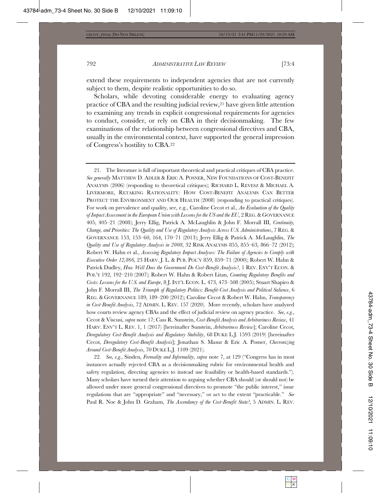extend these requirements to independent agencies that are not currently subject to them, despite realistic opportunities to do so.

Scholars, while devoting considerable energy to evaluating agency practice of CBA and the resulting judicial review, $21$  have given little attention to examining any trends in explicit congressional requirements for agencies to conduct, consider, or rely on CBA in their decision making. The few examinations of the relationship between congressional directives and CBA, usually in the environmental context, have supported the general impression of Congress's hostility to  $CBA$ .<sup>22</sup>

21. The literature is full of important theoretical and practical critiques of CBA practice. See generally MATTHEW D. ADLER & ERIC A. POSNER, NEW FOUNDATIONS OF COST-BENEFIT ANALYSIS (2006) (responding to theoretical critiques); RICHARD L. REVESZ & MICHAEL A. LIVERMORE, RETAKING RATIONALITY: HOW COST-BENEFIT ANALYSIS CAN BETTER PROTECT THE ENVIRONMENT AND OUR HEALTH (2008) (responding to practical critiques). For work on prevalence and quality, see, e.g., Caroline Cecot et al., An Evaluation of the Quality of Impact Assessment in the European Union with Lessons for the US and the EU, 2 REG. & GOVERNANCE 405, 405-21 (2008); Jerry Ellig, Patrick A. McLaughlin & John F. Morrall III, *Continuity*, Change, and Priorities: The Quality and Use of Regulatory Analysis Across U.S. Administrations, 7 REG. & GOVERNANCE 153, 153-60, 164, 170-71 (2013); Jerry Ellig & Patrick A. McLaughlin, *The* Quality and Use of Regulatory Analysis in 2008, 32 RISK ANALYSIS 855, 855-63, 866-72 (2012); Robert W. Hahn et al., Assessing Regulatory Impact Analyses: The Failure of Agencies to Comply with *Executive Order 12,866, 23 HARV. J. L. & PUB. POL'Y 859, 859–71 (2000); Robert W. Hahn &* Patrick Dudley, How Well Does the Government Do Cost-Benefit Analysis?, 1 REV. ENV'T ECON. & 8744 POL'Y 192, 192–210 (2007); Robert W. Hahn & Robert Litan, *Counting Regulatory Benefits and* Costs: Lessons for the U.S. and Europe, 8 J. INT'L ECON. L. 473, 473-508 (2005); Stuart Shapiro & John F. Morrall III, The Triumph of Regulatory Politics: Benefit-Cost Analysis and Political Salience, 6 REG. & GOVERNANCE 189, 189-200 (2012); Caroline Cecot & Robert W. Hahn, *Transparency in Cost-Benefit Analysis, 72 ADMIN. L. REV. 157 (2020). More recently, scholars have analyzed* how courts review agency CBAs and the effect of judicial review on agency practice. See, e.g., Cecot & Viscusi, supra note 17; Cass R. Sunstein, Cost-Benefit Analysis and Arbitrariness Review, 41 HARV. ENV'T L. REV. 1, 1 (2017) [hereinafter Sunstein, *Arbitrariness Review*]; Caroline Cecot, *Deregulatory Cost-Benefit Analysis and Regulatory Stability*, 68 DUKE L.J. 1593 (2019) [hereinafter Cecot, *Deregulatory Cost-Benefit Analysis*]; Jonathan S. Masur & Eric A. Posner, *Chevronizing Around Cost-Benefit Analysis, 70 DUKE L.J.* 1109 (2021).

22. See, e.g., Sinden, Formality and Informality, supra note 7, at 129 ("Congress has in most instances actually rejected CBA as a decision making rubric for environmental health and safety regulation, directing agencies to instead use feasibility or health-based standards."). Many scholars have turned their attention to arguing whether CBA should (or should not) be allowed under more general congressional directives to promote "the public interest," issue regulations that are "appropriate" and "necessary," or act to the extent "practicable." See Paul R. Noe & John D. Graham, *The Ascendancy of the Cost-Benefit State?*, 5 ADMIN. L. REV.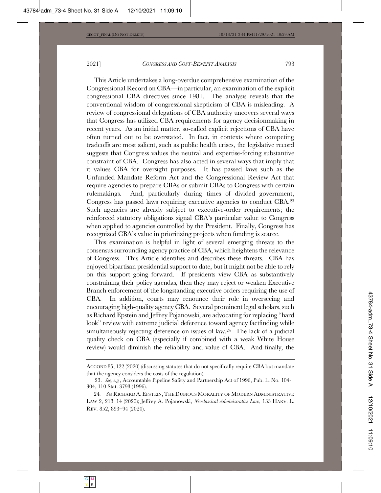This Article undertakes a long-overdue comprehensive examination of the Congressional Record on CBA—in particular, an examination of the explicit congressional CBA directives since 1981. The analysis reveals that the conventional wisdom of congressional skepticism of CBA is misleading. A review of congressional delegations of CBA authority uncovers several ways that Congress has utilized CBA requirements for agency decisionmaking in recent years. As an initial matter, so-called explicit rejections of CBA have often turned out to be overstated. In fact, in contexts where competing tradeoffs are most salient, such as public health crises, the legislative record suggests that Congress values the neutral and expertise-forcing substantive constraint of CBA. Congress has also acted in several ways that imply that it values CBA for oversight purposes. It has passed laws such as the Unfunded Mandate Reform Act and the Congressional Review Act that require agencies to prepare CBAs or submit CBAs to Congress with certain rulemakings. And, particularly during times of divided government, Congress has passed laws requiring executive agencies to conduct CBA.<sup>23</sup> Such agencies are already subject to executive-order requirements; the reinforced statutory obligations signal CBA's particular value to Congress when applied to agencies controlled by the President. Finally, Congress has recognized CBA's value in prioritizing projects when funding is scarce.

This examination is helpful in light of several emerging threats to the consensus surrounding agency practice of CBA, which heightens the relevance of Congress. This Article identifies and describes these threats. CBA has enjoyed bipartisan presidential support to date, but it might not be able to rely on this support going forward. If presidents view CBA as substantively constraining their policy agendas, then they may reject or weaken Executive Branch enforcement of the longstanding executive orders requiring the use of CBA. In addition, courts may renounce their role in overseeing and encouraging high-quality agency CBA. Several prominent legal scholars, such as Richard Epstein and Jeffrey Pojanowski, are advocating for replacing "hard look" review with extreme judicial deference toward agency factfinding while simultaneously rejecting deference on issues of law.<sup>24</sup> The lack of a judicial quality check on CBA (especially if combined with a weak White House review) would diminish the reliability and value of CBA. And finally, the

 $\Lambda$ CCORD 85, 122 (2020) (discussing statutes that do not specifically require CBA but mandate that the agency considers the costs of the regulation).

<sup>23.</sup> See, e.g., Accountable Pipeline Safety and Partnership Act of 1996, Pub. L. No. 104-304, 110 Stat. 3793 (1996).

<sup>24.</sup> See RICHARD A. EPSTEIN, THE DUBIOUS MORALITY OF MODERN ADMINISTRATIVE LAW 2, 213-14 (2020); Jeffrey A. Pojanowski, *Neoclassical Administrative Law*, 133 HARV. L. REV. 852, 893-94 (2020).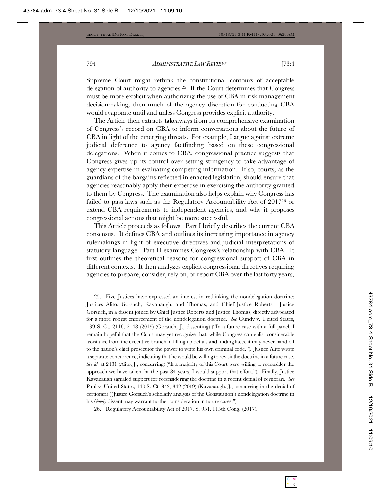Supreme Court might rethink the constitutional contours of acceptable delegation of authority to agencies.<sup>25</sup> If the Court determines that Congress must be more explicit when authorizing the use of CBA in risk-management decisionmaking, then much of the agency discretion for conducting CBA would evaporate until and unless Congress provides explicit authority.

The Article then extracts takeaways from its comprehensive examination of Congress's record on CBA to inform conversations about the future of  $CBA$  in light of the emerging threats. For example, I argue against extreme judicial deference to agency factfinding based on these congressional delegations. When it comes to CBA, congressional practice suggests that Congress gives up its control over setting stringency to take advantage of agency expertise in evaluating competing information. If so, courts, as the guardians of the bargains reflected in enacted legislation, should ensure that agencies reasonably apply their expertise in exercising the authority granted to them by Congress. The examination also helps explain why Congress has failed to pass laws such as the Regulatory Accountability Act of  $2017^{26}$  or extend CBA requirements to independent agencies, and why it proposes congressional actions that might be more successful.

This Article proceeds as follows. Part I briefly describes the current CBA consensus. It defines CBA and outlines its increasing importance in agency rulemakings in light of executive directives and judicial interpretations of statutory language. Part II examines Congress's relationship with CBA. It first outlines the theoretical reasons for congressional support of CBA in different contexts. It then analyzes explicit congressional directives requiring agencies to prepare, consider, rely on, or report CBA over the last forty years,

<sup>25.</sup> Five Justices have expressed an interest in rethinking the nondelegation doctrine: Justices Alito, Gorsuch, Kavanaugh, and Thomas, and Chief Justice Roberts. Justice Gorsuch, in a dissent joined by Chief Justice Roberts and Justice Thomas, directly advocated for a more robust enforcement of the nondelegation doctrine. See Gundy v. United States, 139 S. Ct. 2116, 2148 (2019) (Gorsuch, J., dissenting) ("In a future case with a full panel, I remain hopeful that the Court may yet recognize that, while Congress can enlist considerable assistance from the executive branch in filling up details and finding facts, it may never hand off to the nation's chief prosecutor the power to write his own criminal code."). Justice Alito wrote a separate concurrence, indicating that he would be willing to revisit the doctrine in a future case. See id. at 2131 (Alito, J., concurring) ("If a majority of this Court were willing to reconsider the approach we have taken for the past 84 years, I would support that effort."). Finally, Justice Kavanaugh signaled support for reconsidering the doctrine in a recent denial of certiorari. See Paul v. United States, 140 S. Ct. 342, 342 (2019) (Kavanaugh, J., concurring in the denial of certiorari) ("Justice Gorsuch's scholarly analysis of the Constitution's nondelegation doctrine in his *Gundy* dissent may warrant further consideration in future cases.").

<sup>26.</sup> Regulatory Accountability Act of 2017, S. 951, 115th Cong. (2017).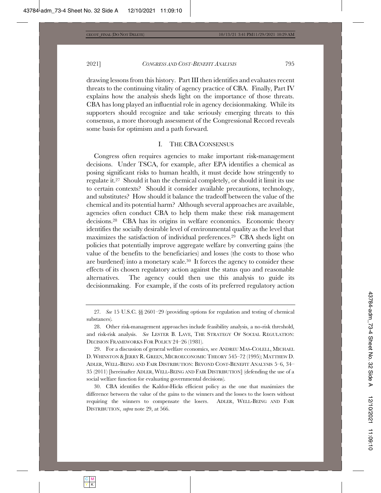drawing lessons from this history. Part III then identifies and evaluates recent threats to the continuing vitality of agency practice of CBA. Finally, Part IV explains how the analysis sheds light on the importance of those threats. CBA has long played an influential role in agency decisionmaking. While its supporters should recognize and take seriously emerging threats to this consensus, a more thorough assessment of the Congressional Record reveals some basis for optimism and a path forward.

## I. THE CBA CONSENSUS

Congress often requires agencies to make important risk-management decisions. Under TSCA, for example, after EPA identifies a chemical as posing significant risks to human health, it must decide how stringently to regulate it.<sup>27</sup> Should it ban the chemical completely, or should it limit its use to certain contexts? Should it consider available precautions, technology, and substitutes? How should it balance the tradeoff between the value of the chemical and its potential harm? Although several approaches are available, agencies often conduct CBA to help them make these risk management decisions.<sup>28</sup> CBA has its origins in welfare economics. Economic theory identifies the socially desirable level of environmental quality as the level that maximizes the satisfaction of individual preferences.<sup>29</sup> CBA sheds light on policies that potentially improve aggregate welfare by converting gains (the value of the benefits to the beneficiaries) and losses (the costs to those who are burdened) into a monetary scale.<sup>30</sup> It forces the agency to consider these  $\theta$  effects of its chosen regulatory action against the status quo and reasonable  $\Omega$  alternatives. The agency could then use this analysis to guide its decisionmaking. For example, if the costs of its preferred regulatory action

<sup>27.</sup> See 15 U.S.C.  $\S_{\text{S}}$  2601-29 (providing options for regulation and testing of chemical substances).

<sup>28.</sup> Other risk-management approaches include feasibility analysis, a no-risk threshold, and risk-risk analysis. See LESTER B. LAVE, THE STRATEGY OF SOCIAL REGULATION: DECISION FRAMEWORKS FOR POLICY 24-26 (1981).

<sup>29.</sup> For a discussion of general welfare economics, see ANDREU MAS-COLELL, MICHAEL D. WHINSTON & JERRY R. GREEN, MICROECONOMIC THEORY 545-72 (1995); MATTHEW D. ADLER, WELL-BEING AND FAIR DISTRIBUTION: BEYOND COST-BENEFIT ANALYSIS 5-6, 34-35 (2011) [hereinafter ADLER, WELL-BEING AND FAIR DISTRIBUTION] (defending the use of a social welfare function for evaluating governmental decisions).

 $30.$  CBA identifies the Kaldor-Hicks efficient policy as the one that maximizes the difference between the value of the gains to the winners and the losses to the losers without requiring the winners to compensate the losers. ADLER, WELL-BEING AND FAIR DISTRIBUTION, *supra* note 29, at 566.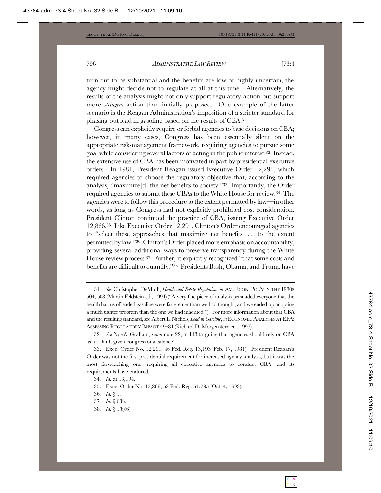turn out to be substantial and the benefits are low or highly uncertain, the agency might decide not to regulate at all at this time. Alternatively, the results of the analysis might not only support regulatory action but support more *stringent* action than initially proposed. One example of the latter scenario is the Reagan Administration's imposition of a stricter standard for phasing out lead in gasoline based on the results of  $CBA$ <sup>31</sup>

Congress can explicitly require or forbid agencies to base decisions on CBA; however, in many cases, Congress has been essentially silent on the appropriate risk-management framework, requiring agencies to pursue some goal while considering several factors or acting in the public interest.<sup>32</sup> Instead, the extensive use of CBA has been motivated in part by presidential executive orders. In 1981, President Reagan issued Executive Order 12,291, which required agencies to choose the regulatory objective that, according to the analysis, "maximize<sup>[d]</sup> the net benefits to society."<sup>33</sup> Importantly, the Order required agencies to submit these CBAs to the White House for review.<sup>34</sup> The agencies were to follow this procedure to the extent permitted by law—in other words, as long as Congress had not explicitly prohibited cost consideration. President Clinton continued the practice of CBA, issuing Executive Order 12,866.<sup>35</sup> Like Executive Order 12,291, Clinton's Order encouraged agencies to "select those approaches that maximize net benefits.... to the extent permitted by law."36 Clinton's Order placed more emphasis on accountability, providing several additional ways to preserve transparency during the White House review process.<sup>37</sup> Further, it explicitly recognized "that some costs and benefits are difficult to quantify."<sup>38</sup> Presidents Bush, Obama, and Trump have

38. *Id.* § 1(b)(6).

<sup>31.</sup> See Christopher DeMuth, *Health and Safety Regulation, in AM. ECON. POL'Y IN THE 1980s* 504, 508 (Martin Feldstein ed., 1994) ("A very fine piece of analysis persuaded everyone that the health harms of leaded gasoline were far greater than we had thought, and we ended up adopting a much tighter program than the one we had inherited."). For more information about that CBA and the resulting standard, see Albert L. Nichols, Lead in Gasoline, in ECONOMIC ANALYSES AT EPA: ASSESSING REGULATORY IMPACT 49-84 (Richard D. Morgenstern ed., 1997).

<sup>32.</sup> See Noe & Graham, *supra* note 22, at 113 (arguing that agencies should rely on CBA as a default given congressional silence).

<sup>33.</sup> Exec. Order No. 12,291, 46 Fed. Reg. 13,193 (Feb. 17, 1981). President Reagan's Order was not the first presidential requirement for increased agency analysis, but it was the most far-reaching one—requiring all executive agencies to conduct CBA—and its requirements have endured.

<sup>34.</sup> *Id.* at 13,194.

<sup>35.</sup> Exec. Order No. 12,866, 58 Fed. Reg. 51,735 (Oct. 4, 1993).

<sup>36.</sup> *Id.* § 1.

<sup>37.</sup> *Id.* § 6(b).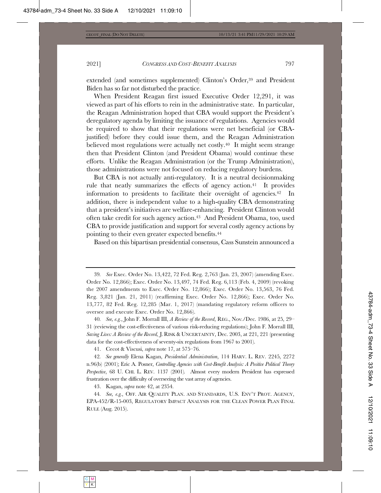extended (and sometimes supplemented) Clinton's Order,<sup>39</sup> and President Biden has so far not disturbed the practice.

When President Reagan first issued Executive Order  $12,291$ , it was viewed as part of his efforts to rein in the administrative state. In particular, the Reagan Administration hoped that CBA would support the President's deregulatory agenda by limiting the issuance of regulations. Agencies would be required to show that their regulations were net beneficial (or CBAjustified) before they could issue them, and the Reagan Administration believed most regulations were actually net costly.<sup>40</sup> It might seem strange then that President Clinton (and President Obama) would continue these efforts. Unlike the Reagan Administration (or the Trump Administration), those administrations were not focused on reducing regulatory burdens.

But CBA is not actually anti-regulatory. It is a neutral decision making rule that neatly summarizes the effects of agency action.<sup>41</sup> It provides information to presidents to facilitate their oversight of agencies.<sup>42</sup> In addition, there is independent value to a high-quality CBA demonstrating that a president's initiatives are welfare-enhancing. President Clinton would often take credit for such agency action.<sup>43</sup> And President Obama, too, used  $\rm CBA$  to provide justification and support for several costly agency actions by pointing to their even greater expected benefits.<sup>44</sup>

Based on this bipartisan presidential consensus, Cass Sunstein announced a

40. See, e.g., John F. Morrall III, A Review of the Record, REG., Nov./Dec. 1986, at 25, 29– 31 (reviewing the cost-effectiveness of various risk-reducing regulations); John F. Morrall III, *Saving Lives: A Review of the Record, J. RISK & UNCERTAINTY, Dec. 2003, at 221, 221 (presenting* data for the cost-effectiveness of seventy-six regulations from 1967 to 2001).

41. Cecot & Viscusi, *supra* note 17, at 575-76.

42. See generally Elena Kagan, Presidential Administration, 114 HARV. L. REV. 2245, 2272 n.96(b) (2001); Eric A. Posner, *Controlling Agencies with Cost-Benefit Analysis: A Positive Political Theory* Perspective, 68 U. CHI. L. REV. 1137 (2001). Almost every modern President has expressed frustration over the difficulty of overseeing the vast array of agencies.

43. Kagan, *supra* note 42, at 2354.

44. See, e.g., OFF. AIR QUALITY PLAN. AND STANDARDS, U.S. ENV'T PROT. AGENCY, EPA-452/R-15-003, REGULATORY IMPACT ANALYSIS FOR THE CLEAN POWER PLAN FINAL RULE (Aug. 2015).

<sup>39.</sup> See Exec. Order No. 13,422, 72 Fed. Reg. 2,763 (Jan. 23, 2007) (amending Exec. Order No. 12,866); Exec. Order No. 13,497, 74 Fed. Reg. 6,113 (Feb. 4, 2009) (revoking the 2007 amendments to Exec. Order No. 12,866); Exec. Order No. 13,563, 76 Fed. Reg. 3,821 (Jan. 21, 2011) (reaffirming Exec. Order No. 12,866); Exec. Order No. 13,777, 82 Fed. Reg. 12,285 (Mar. 1, 2017) (mandating regulatory reform officers to oversee and execute Exec. Order No.  $12,866$ ).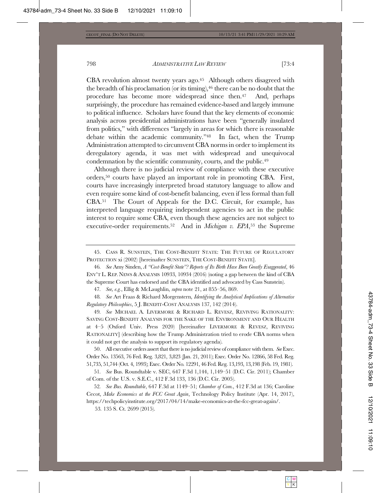$CBA$  revolution almost twenty years ago.<sup>45</sup> Although others disagreed with the breadth of his proclamation (or its timing),  $46$  there can be no doubt that the procedure has become more widespread since then. $47$  And, perhaps surprisingly, the procedure has remained evidence-based and largely immune to political influence. Scholars have found that the key elements of economic analysis across presidential administrations have been "generally insulated from politics," with differences "largely in areas for which there is reasonable debate within the academic community." $48$  In fact, when the Trump Administration attempted to circumvent CBA norms in order to implement its deregulatory agenda, it was met with widespread and unequivocal condemnation by the scientific community, courts, and the public.<sup>49</sup>

Although there is no judicial review of compliance with these executive orders, $50$  courts have played an important role in promoting CBA. First, courts have increasingly interpreted broad statutory language to allow and even require some kind of cost-benefit balancing, even if less formal than full  $CBA$ <sup>51</sup> The Court of Appeals for the D.C. Circuit, for example, has interpreted language requiring independent agencies to act in the public interest to require some CBA, even though these agencies are not subject to executive-order requirements.<sup>52</sup> And in *Michigan v. EPA*,<sup>53</sup> the Supreme

45. CASS R. SUNSTEIN, THE COST-BENEFIT STATE: THE FUTURE OF REGULATORY PROTECTION xi (2002) [hereinafter SUNSTEIN, THE COST-BENEFIT STATE].

46. See Amy Sinden, A "Cost-Benefit State"? Reports of Its Birth Have Been Greatly Exaggerated, 46 ENV'T L. REP. NEWS & ANALYSIS  $10933$ ,  $10934$   $(2016)$  (noting a gap between the kind of CBA the Supreme Court has endorsed and the CBA identified and advocated by Cass Sunstein).

47. See, e.g., Ellig & McLaughlin, *supra* note 21, at 855-56, 869.

48. See Art Fraas & Richard Morgenstern, *Identifying the Analytical Implications of Alternative* Regulatory Philosophies, 5 J. BENEFIT-COST ANALYSIS 137, 142 (2014).

49. See MICHAEL A. LIVERMORE & RICHARD L. REVESZ, REVIVING RATIONALITY: SAVING COST-BENEFIT ANALYSIS FOR THE SAKE OF THE ENVIRONMENT AND OUR HEALTH at 4-5 (Oxford Univ. Press 2020) [hereinafter LIVERMORE & REVESZ, REVIVING RATIONALITY] (describing how the Trump Administration tried to erode CBA norms when it could not get the analysis to support its regulatory agenda).

50. All executive orders assert that there is no judicial review of compliance with them. See Exec. Order No. 13563, 76 Fed. Reg. 3,821, 3,823 (Jan. 21, 2011); Exec. Order No. 12866, 58 Fed. Reg. 51,735, 51,744 (Oct. 4, 1993); Exec. Order No. 12291, 46 Fed. Reg. 13,193, 13,198 (Feb. 19, 1981).

51. See Bus. Roundtable v. SEC, 647 F.3d 1,144, 1,149-51 (D.C. Cir. 2011); Chamber of Com. of the U.S. v. S.E.C., 412 F.3d 133, 136 (D.C. Cir. 2005).

52. See Bus. Roundtable, 647 F.3d at 1149–51; Chamber of Com., 412 F.3d at 136; Caroline Cecot, Make Economics at the FCC Great Again, Technology Policy Institute (Apr. 14, 2017), https://techpolicyinstitute.org/2017/04/14/make-economics-at-the-fcc-great-again/.

53. 135 S. Ct. 2699 (2015).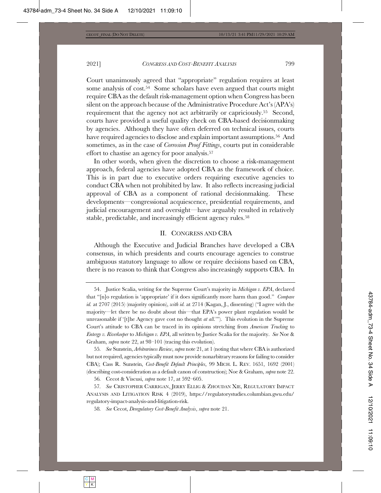Court unanimously agreed that "appropriate" regulation requires at least some analysis of cost.<sup>54</sup> Some scholars have even argued that courts might require CBA as the default risk-management option when Congress has been silent on the approach because of the Administrative Procedure Act's  $(APA's)$ requirement that the agency not act arbitrarily or capriciously.<sup>55</sup> Second, courts have provided a useful quality check on CBA-based decisionmaking by agencies. Although they have often deferred on technical issues, courts have required agencies to disclose and explain important assumptions.<sup>56</sup> And sometimes, as in the case of *Corrosion Proof Fittings*, courts put in considerable effort to chastise an agency for poor analysis.<sup>57</sup>

In other words, when given the discretion to choose a risk-management approach, federal agencies have adopted CBA as the framework of choice. This is in part due to executive orders requiring executive agencies to conduct CBA when not prohibited by law. It also reflects increasing judicial approval of CBA as a component of rational decision making. These developments—congressional acquiescence, presidential requirements, and judicial encouragement and oversight—have arguably resulted in relatively stable, predictable, and increasingly efficient agency rules.<sup>58</sup>

#### II. CONGRESS AND CBA

Although the Executive and Judicial Branches have developed a CBA consensus, in which presidents and courts encourage agencies to construe ambiguous statutory language to allow or require decisions based on CBA, there is no reason to think that Congress also increasingly supports CBA. In

<sup>54.</sup> Justice Scalia, writing for the Supreme Court's majority in *Michigan v. EPA*, declared that "[n]o regulation is 'appropriate' if it does significantly more harm than good." *Compare id.* at 2707 (2015) (majority opinion), *with id.* at 2714 (Kagan, J., dissenting) ("I agree with the majority—let there be no doubt about this—that EPA's power plant regulation would be unreasonable if '[t]he Agency gave cost no thought *at all*.""). This evolution in the Supreme Court's attitude to CBA can be traced in its opinions stretching from *American Trucking* to *Entergy v. Riverkeeper to Michigan v. EPA*, all written by Justice Scalia for the majority. See Noe & Graham, *supra* note 22, at 98-101 (tracing this evolution).

<sup>55.</sup> See Sunstein, Arbitrariness Review, supra note 21, at 1 (noting that where CBA is authorized but not required, agencies typically must now provide nonarbitrary reasons for failing to consider CBA); Cass R. Sunstein, *Cost-Benefit Default Principles*, 99 MICH. L. REV. 1651, 1692 (2001) (describing cost-consideration as a default canon of construction); Noe & Graham, *supra* note 22.

<sup>56.</sup> Cecot & Viscusi, *supra* note 17, at 592–605.

<sup>57.</sup> See CRISTOPHER CARRIGAN, JERRY ELLIG & ZHOUDAN XIE, REGULATORY IMPACT ANALYSIS AND LITIGATION RISK 4 (2019), https://regulatorystudies.columbian.gwu.edu/ regulatory-impact-analysis-and-litigation-risk.

<sup>58.</sup> See Cecot, Deregulatory Cost-Benefit Analysis, supra note 21.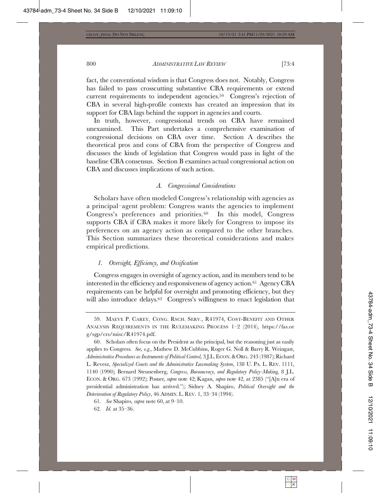fact, the conventional wisdom is that Congress does not. Notably, Congress has failed to pass crosscutting substantive CBA requirements or extend current requirements to independent agencies.<sup>59</sup> Congress's rejection of  $CBA$  in several high-profile contexts has created an impression that its support for CBA lags behind the support in agencies and courts.

In truth, however, congressional trends on CBA have remained unexamined. This Part undertakes a comprehensive examination of congressional decisions on CBA over time. Section A describes the theoretical pros and cons of CBA from the perspective of Congress and discusses the kinds of legislation that Congress would pass in light of the baseline CBA consensus. Section B examines actual congressional action on CBA and discusses implications of such action.

#### *A.* Congressional Considerations

Scholars have often modeled Congress's relationship with agencies as a principal-agent problem: Congress wants the agencies to implement Congress's preferences and priorities.<sup>60</sup> In this model, Congress supports CBA if CBA makes it more likely for Congress to impose its preferences on an agency action as compared to the other branches. This Section summarizes these theoretical considerations and makes empirical predictions.

#### *1.* Oversight, Efficiency, and Ossification

Congress engages in oversight of agency action, and its members tend to be interested in the efficiency and responsiveness of agency action.<sup>61</sup> Agency CBA requirements can be helpful for oversight and promoting efficiency, but they will also introduce delays.<sup>62</sup> Congress's willingness to enact legislation that

<sup>59.</sup> MAEVE P. CAREY, CONG. RSCH. SERV., R41974, COST-BENEFIT AND OTHER ANALYSIS REQUIREMENTS IN THE RULEMAKING PROCESS 1-2 (2014), https://fas.or g/sgp/crs/misc/R41974.pdf.

 $60.$  Scholars often focus on the President as the principal, but the reasoning just as easily applies to Congress. See, e.g., Mathew D. McCubbins, Roger G. Noll & Barry R. Weingast, *Administrative Procedures as Instruments of Political Control*, 3 J.L. ECON. & ORG. 243 (1987); Richard L. Revesz, Specialized Courts and the Administrative Lawmaking System, 138 U. PA. L. REV. 1111, 1140 (1990); Bernard Steunenberg, *Congress, Bureaucracy, and Regulatory Policy-Making*, 8 J.L. ECON. & ORG. 673 (1992); Posner, *supra* note 42; Kagan, *supra* note 42, at 2385 ("[A]n era of presidential administration has arrived."); Sidney A. Shapiro, *Political Oversight and the Deterioration of Regulatory Policy*, 46 ADMIN. L. REV. 1, 33-34 (1994).

<sup>61.</sup> See Shapiro, *supra* note 60, at 9–10.

<sup>62.</sup> *Id.* at 35-36.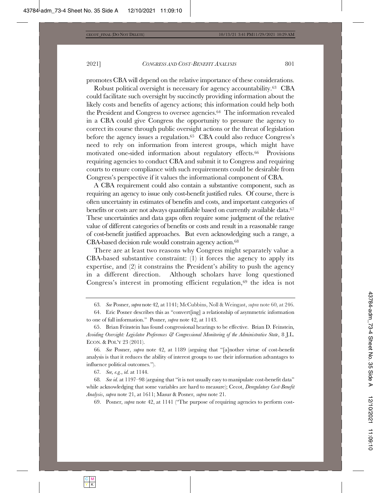promotes CBA will depend on the relative importance of these considerations.

Robust political oversight is necessary for agency accountability.<sup>63</sup> CBA could facilitate such oversight by succinctly providing information about the likely costs and benefits of agency actions; this information could help both the President and Congress to oversee agencies.<sup>64</sup> The information revealed in a CBA could give Congress the opportunity to pressure the agency to correct its course through public oversight actions or the threat of legislation before the agency issues a regulation.<sup>65</sup> CBA could also reduce Congress's need to rely on information from interest groups, which might have motivated one-sided information about regulatory effects.<sup>66</sup> Provisions requiring agencies to conduct CBA and submit it to Congress and requiring courts to ensure compliance with such requirements could be desirable from Congress's perspective if it values the informational component of CBA.

A CBA requirement could also contain a substantive component, such as requiring an agency to issue only cost-benefit justified rules. Of course, there is often uncertainty in estimates of benefits and costs, and important categories of benefits or costs are not always quantifiable based on currently available data.<sup>67</sup> These uncertainties and data gaps often require some judgment of the relative value of different categories of benefits or costs and result in a reasonable range of cost-benefit justified approaches. But even acknowledging such a range, a  $CBA$ -based decision rule would constrain agency action.<sup>68</sup>

There are at least two reasons why Congress might separately value a  $CBA$ -based substantive constraint: (1) it forces the agency to apply its expertise, and  $(2)$  it constrains the President's ability to push the agency in a different direction. Although scholars have long questioned Congress's interest in promoting efficient regulation,<sup>69</sup> the idea is not

66. See Posner, supra note 42, at 1189 (arguing that "[a]nother virtue of cost-benefit analysis is that it reduces the ability of interest groups to use their information advantages to influence political outcomes.").

67. *See, e.g., id.* at 1144.

68. *See id.* at 1197–98 (arguing that "it is not usually easy to manipulate cost-benefit data" while acknowledging that some variables are hard to measure); Cecot, Deregulatory Cost-Benefit *Analysis, supra* note 21, at 1611; Masur & Posner, *supra* note 21.

69. Posner, *supra* note 42, at 1141 ("The purpose of requiring agencies to perform cost-

<sup>63.</sup> See Posner, supra note 42, at 1141; McCubbins, Noll & Weingast, supra note 60, at 246.

<sup>64.</sup> Eric Posner describes this as "convert[ing] a relationship of asymmetric information to one of full information." Posner, *supra* note 42, at 1143.

 $65$ . Brian Feinstein has found congressional hearings to be effective. Brian D. Feinstein,  $A$ voiding Oversight: Legislator Preferences & Congressional Monitoring of the Administrative State, 8 J.L. ECON. & POL'Y 23 (2011).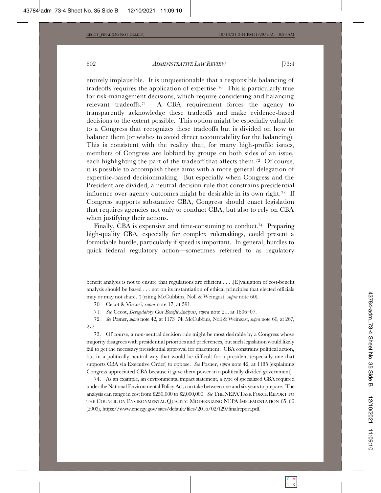entirely implausible. It is unquestionable that a responsible balancing of tradeoffs requires the application of expertise.<sup>70</sup> This is particularly true for risk-management decisions, which require considering and balancing relevant tradeoffs.<sup>71</sup> A CBA requirement forces the agency to transparently acknowledge these tradeoffs and make evidence-based decisions to the extent possible. This option might be especially valuable to a Congress that recognizes these tradeoffs but is divided on how to balance them (or wishes to avoid direct accountability for the balancing). This is consistent with the reality that, for many high-profile issues, members of Congress are lobbied by groups on both sides of an issue, each highlighting the part of the tradeoff that affects them.<sup>72</sup> Of course, it is possible to accomplish these aims with a more general delegation of expertise-based decisionmaking. But especially when Congress and the President are divided, a neutral decision rule that constrains presidential influence over agency outcomes might be desirable in its own right.<sup>73</sup> If Congress supports substantive CBA, Congress should enact legislation that requires agencies not only to conduct CBA, but also to rely on CBA when justifying their actions.

Finally, CBA is expensive and time-consuming to conduct.<sup>74</sup> Preparing high-quality CBA, especially for complex rulemakings, could present a formidable hurdle, particularly if speed is important. In general, hurdles to quick federal regulatory action—sometimes referred to as regulatory

73. Of course, a non-neutral decision rule might be most desirable by a Congress whose majority disagrees with presidential priorities and preferences, but such legislation would likely fail to get the necessary presidential approval for enactment. CBA constrains political action, but in a politically neutral way that would be difficult for a president (especially one that supports CBA via Executive Order) to oppose. See Posner, supra note 42, at 1185 (explaining Congress appreciated CBA because it gave them power in a politically divided government).

74. As an example, an environmental impact statement, a type of specialized CBA required under the National Environmental Policy Act, can take between one and six years to prepare. The analysis can range in cost from \$250,000 to \$2,000,000. See THE NEPA TASK FORCE REPORT TO THE COUNCIL ON ENVIRONMENTAL QUALITY: MODERNIZING NEPA IMPLEMENTATION 65-66 (2003), https://www.energy.gov/sites/default/files/2016/02/f29/finalreport.pdf.

benefit analysis is not to ensure that regulations are efficient  $\dots$ . [E] valuation of cost-benefit analysis should be based  $\ldots$  not on its instantiation of ethical principles that elected officials may or may not share.") (citing McCubbins, Noll & Weingast, *supra* note 60).

<sup>70.</sup> Cecot & Viscusi, *supra* note 17, at 591.

<sup>71.</sup> See Cecot, Deregulatory Cost-Benefit Analysis, supra note 21, at 1606–07.

<sup>72.</sup> See Posner, supra note 42, at 1173–74; McCubbins, Noll & Weingast, supra note 60, at 267, 272.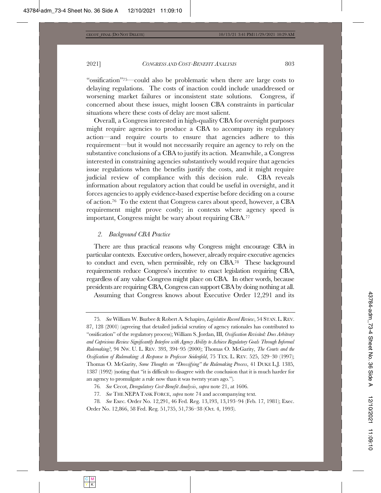"ossification"<sup> $75$ </sup>—could also be problematic when there are large costs to delaying regulations. The costs of inaction could include unaddressed or worsening market failures or inconsistent state solutions. Congress, if concerned about these issues, might loosen CBA constraints in particular situations where these costs of delay are most salient.

Overall, a Congress interested in high-quality CBA for oversight purposes might require agencies to produce a CBA to accompany its regulatory  $action$ — $and$  require courts to ensure that agencies adhere to this requirement—but it would not necessarily require an agency to rely on the substantive conclusions of a CBA to justify its action. Meanwhile, a Congress interested in constraining agencies substantively would require that agencies issue regulations when the benefits justify the costs, and it might require judicial review of compliance with this decision rule. CBA reveals information about regulatory action that could be useful in oversight, and it forces agencies to apply evidence-based expertise before deciding on a course of action.<sup>76</sup> To the extent that Congress cares about speed, however, a CBA requirement might prove costly; in contexts where agency speed is important, Congress might be wary about requiring CBA. $^{77}$ 

#### 2. *Background CBA Practice*

There are thus practical reasons why Congress might encourage CBA in particular contexts. Executive orders, however, already require executive agencies to conduct and even, when permissible, rely on  $CBA^{78}$  These background requirements reduce Congress's incentive to enact legislation requiring CBA, regardless of any value Congress might place on CBA. In other words, because presidents are requiring CBA, Congress can support CBA by doing nothing at all.

Assuming that Congress knows about Executive Order 12,291 and its

*76. See* Cecot, *Deregulatory Cost-Benefit Analysis*, *supra* note 21, at 1606.

77. See THE NEPA TASK FORCE, *supra* note 74 and accompanying text.

78. See Exec. Order No. 12,291, 46 Fed. Reg. 13,193, 13,193-94 (Feb. 17, 1981); Exec. Order No. 12,866, 58 Fed. Reg. 51,735, 51,736-38 (Oct. 4, 1993).

<sup>75.</sup> See William W. Buzbee & Robert A. Schapiro, *Legislative Record Review*, 54 STAN. L. REV.  $87, 128$   $(2001)$  (agreeing that detailed judicial scrutiny of agency rationales has contributed to "ossification" of the regulatory process); William S. Jordan, III, Ossification Revisited: Does Arbitrary and Capricious Review Significantly Interfere with Agency Ability to Achieve Regulatory Goals Through Informal *Rulemaking*<sup>2</sup>, 94 Nw. U. L. REV. 393, 394-95 (2000); Thomas O. McGarity, The Courts and the Ossification of Rulemaking: A Response to Professor Seidenfeld, 75 TEX. L. REV. 525, 529-30 (1997); Thomas O. McGarity, Some Thoughts on "Deossifying" the Rulemaking Process, 41 DUKE L.J. 1385, 1387 (1992) (noting that "it is difficult to disagree with the conclusion that it is much harder for an agency to promulgate a rule now than it was twenty years ago.").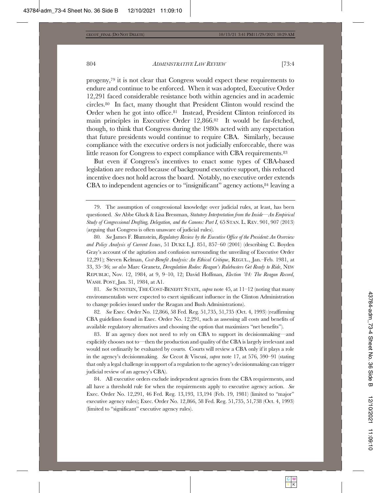progeny,<sup>79</sup> it is not clear that Congress would expect these requirements to endure and continue to be enforced. When it was adopted, Executive Order  $12,291$  faced considerable resistance both within agencies and in academic circles.<sup>80</sup> In fact, many thought that President Clinton would rescind the Order when he got into office.<sup>81</sup> Instead, President Clinton reinforced its main principles in Executive Order  $12,866.82$  It would be far-fetched, though, to think that Congress during the 1980s acted with any expectation that future presidents would continue to require CBA. Similarly, because compliance with the executive orders is not judicially enforceable, there was little reason for Congress to expect compliance with CBA requirements.<sup>83</sup>

But even if Congress's incentives to enact some types of CBA-based legislation are reduced because of background executive support, this reduced incentive does not hold across the board. Notably, no executive order extends CBA to independent agencies or to "insignificant" agency actions,  $84$  leaving a

80. See James F. Blumstein, *Regulatory Review by the Executive Office of the President: An Overview* and Policy Analysis of Current Issues, 51 DUKE L.J. 851, 857-60 (2001) (describing C. Boyden Gray's account of the agitation and confusion surrounding the unveiling of Executive Order 12,291); Steven Kelman, Cost-Benefit Analysis: An Ethical Critique, REGUL., Jan.-Feb. 1981, at 33, 35–36; see also Marc Granetz, *Deregulation Rodeo: Reagan's Rulebusters Get Ready to Ride*, NEW REPUBLIC, Nov. 12, 1984, at 9, 9-10, 12; David Hoffman, *Election '84: The Reagan Record*, WASH. POST, Jan. 31, 1984, at A1.

81. See SUNSTEIN, THE COST-BENEFIT STATE, *supra* note 45, at  $11-12$  (noting that many  $emvironmentalists were expected to exert significant influence in the Clinton Administration$ to change policies issued under the Reagan and Bush Administrations).

82. See Exec. Order No. 12,866, 58 Fed. Reg. 51,735, 51,735 (Oct. 4, 1993) (reaffirming  $CBA$  guidelines found in Exec. Order No. 12,291, such as assessing all costs and benefits of available regulatory alternatives and choosing the option that maximizes "net benefits").

83. If an agency does not need to rely on CBA to support its decision making—and explicitly chooses not to—then the production and quality of the CBA is largely irrelevant and would not ordinarily be evaluated by courts. Courts will review a CBA only if it plays a role in the agency's decisionmaking. See Cecot & Viscusi, *supra* note 17, at 576, 590–91 (stating that only a legal challenge in support of a regulation to the agency's decision making can trigger judicial review of an agency's CBA).

84. All executive orders exclude independent agencies from the CBA requirements, and all have a threshold rule for when the requirements apply to executive agency action. See Exec. Order No. 12,291, 46 Fed. Reg. 13,193, 13,194 (Feb. 19, 1981) (limited to "major" executive agency rules); Exec. Order No. 12,866, 58 Fed. Reg. 51,735, 51,738 (Oct. 4, 1993) (limited to "significant" executive agency rules).

<sup>79.</sup> The assumption of congressional knowledge over judicial rules, at least, has been questioned. See Abbe Gluck & Lisa Bressman, Statutory Interpretation from the Inside—An Empirical Study of Congressional Drafting, Delegation, and the Canons: Part I, 65 STAN. L. REV. 901, 907 (2013) (arguing that Congress is often unaware of judicial rules).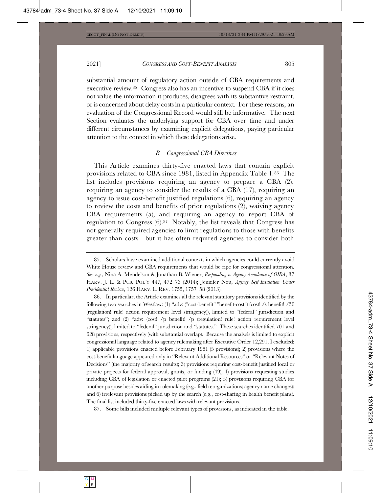substantial amount of regulatory action outside of CBA requirements and executive review.<sup>85</sup> Congress also has an incentive to suspend CBA if it does not value the information it produces, disagrees with its substantive restraint, or is concerned about delay costs in a particular context. For these reasons, an evaluation of the Congressional Record would still be informative. The next Section evaluates the underlying support for CBA over time and under different circumstances by examining explicit delegations, paying particular attention to the context in which these delegations arise.

### *B.* Congressional CBA Directives

This Article examines thirty-five enacted laws that contain explicit provisions related to CBA since 1981, listed in Appendix Table 1.86 The list includes provisions requiring an agency to prepare a CBA  $(2)$ , requiring an agency to consider the results of a CBA  $(17)$ , requiring an agency to issue cost-benefit justified regulations  $(6)$ , requiring an agency to review the costs and benefits of prior regulations  $(2)$ , waiving agency  $CBA$  requirements  $(5)$ , and requiring an agency to report  $CBA$  of regulation to Congress  $(6).87$  Notably, the list reveals that Congress has not generally required agencies to limit regulations to those with benefits greater than costs—but it has often required agencies to consider both

86. In particular, the Article examines all the relevant statutory provisions identified by the following two searches in Westlaw: (1) "adv: ("cost-benefit" "benefit-cost") (cost! /s benefit! /30 (regulation! rule! action requirement level stringency)), limited to "federal" jurisdiction and "statutes"; and  $(2)$  "adv:  $(\text{cost! }$  /p benefit! /p  $(\text{regularical rule! }$  action requirement level stringency)), limited to "federal" jurisdiction and "statutes." These searches identified 701 and  $628$  provisions, respectively (with substantial overlap). Because the analysis is limited to explicit congressional language related to agency rulemaking after Executive Order 12,291, I excluded: 1) applicable provisions enacted before February 1981 (5 provisions); 2) provisions where the cost-benefit language appeared only in "Relevant Additional Resources" or "Relevant Notes of Decisions" (the majority of search results); 3) provisions requiring cost-benefit justified local or private projects for federal approval, grants, or funding  $(49)$ ; 4) provisions requesting studies including CBA of legislation or enacted pilot programs  $(21)$ ; 5) provisions requiring CBA for another purpose besides aiding in rulemaking  $(e.g., field reorganizations; agency name changes);$ and 6) irrelevant provisions picked up by the search (e.g., cost-sharing in health benefit plans). The final list included thirty-five enacted laws with relevant provisions.

87. Some bills included multiple relevant types of provisions, as indicated in the table.

<sup>85.</sup> Scholars have examined additional contexts in which agencies could currently avoid White House review and CBA requirements that would be ripe for congressional attention. *See, e.g., Nina A. Mendelson & Jonathan B. Wiener, Responding to Agency Avoidance of OIRA, 37* HARV. J. L. & PUB. POL'Y 447, 472-73 (2014); Jennifer Nou, Agency Self-Insulation Under Presidential Review, 126 HARV. L. REV. 1755, 1757-58 (2013).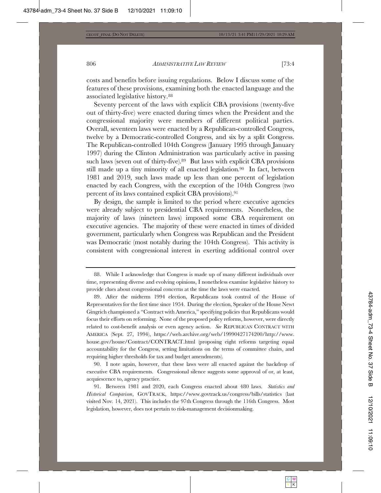costs and benefits before issuing regulations. Below I discuss some of the features of these provisions, examining both the enacted language and the associated legislative history.<sup>88</sup>

Seventy percent of the laws with explicit CBA provisions (twenty-five out of thirty-five) were enacted during times when the President and the congressional majority were members of different political parties. Overall, seventeen laws were enacted by a Republican-controlled Congress, twelve by a Democratic-controlled Congress, and six by a split Congress. The Republican-controlled 104th Congress (January 1995 through January 1997) during the Clinton Administration was particularly active in passing such laws (seven out of thirty-five).<sup>89</sup> But laws with explicit CBA provisions still made up a tiny minority of all enacted legislation.<sup>90</sup> In fact, between 1981 and 2019, such laws made up less than one percent of legislation enacted by each Congress, with the exception of the 104th Congress (two percent of its laws contained explicit CBA provisions).<sup>91</sup>

By design, the sample is limited to the period where executive agencies were already subject to presidential CBA requirements. Nonetheless, the majority of laws (nineteen laws) imposed some CBA requirement on executive agencies. The majority of these were enacted in times of divided government, particularly when Congress was Republican and the President was Democratic (most notably during the 104th Congress). This activity is consistent with congressional interest in exerting additional control over

 $90.$  I note again, however, that these laws were all enacted against the backdrop of executive CBA requirements. Congressional silence suggests some approval of or, at least, acquiescence to, agency practice.

91. Between 1981 and 2020, each Congress enacted about 480 laws. Statistics and Historical Comparison, GOVTRACK, https://www.govtrack.us/congress/bills/statistics (last visited Nov. 14, 2021). This includes the 97th Congress through the 116th Congress. Most legislation, however, does not pertain to risk-management decisionmaking.

<sup>88.</sup> While I acknowledge that Congress is made up of many different individuals over time, representing diverse and evolving opinions, I nonetheless examine legislative history to provide clues about congressional concerns at the time the laws were enacted.

<sup>89.</sup> After the midterm 1994 election, Republicans took control of the House of Representatives for the first time since 1954. During the election, Speaker of the House Newt Gingrich championed a "Contract with America," specifying policies that Republicans would focus their efforts on reforming. None of the proposed policy reforms, however, were directly related to cost-benefit analysis or even agency action. See REPUBLICAN CONTRACT WITH AMERICA (Sept. 27, 1994), https://web.archive.org/web/19990427174200/http://www. house.gov/house/Contract/CONTRACT.html (proposing eight reforms targeting equal  $\alpha$ ccountability for the Congress, setting limitations on the terms of committee chairs, and requiring higher thresholds for tax and budget amendments).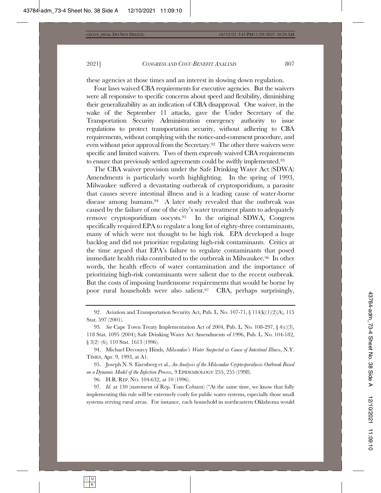these agencies at those times and an interest in slowing down regulation.

Four laws waived CBA requirements for executive agencies. But the waivers were all responsive to specific concerns about speed and flexibility, diminishing their generalizability as an indication of CBA disapproval. One waiver, in the wake of the September 11 attacks, gave the Under Secretary of the Transportation Security Administration emergency authority to issue regulations to protect transportation security, without adhering to CBA requirements, without complying with the notice-and-comment procedure, and even without prior approval from the Secretary.<sup>92</sup> The other three waivers were specific and limited waivers. Two of them expressly waived CBA requirements to ensure that previously settled agreements could be swiftly implemented.<sup>93</sup>

The CBA waiver provision under the Safe Drinking Water Act (SDWA) Amendments is particularly worth highlighting. In the spring of 1993, Milwaukee suffered a devastating outbreak of cryptosporidium, a parasite that causes severe intestinal illness and is a leading cause of water-borne disease among humans.<sup>94</sup> A later study revealed that the outbreak was caused by the failure of one of the city's water treatment plants to adequately remove cryptosporidium oocysts.<sup>95</sup> In the original SDWA, Congress specifically required EPA to regulate a long list of eighty-three contaminants, many of which were not thought to be high risk. EPA developed a huge backlog and did not prioritize regulating high-risk contaminants. Critics at the time argued that  $\text{EPA's failure}$  to regulate contaminants that posed immediate health risks contributed to the outbreak in Milwaukee.<sup>96</sup> In other words, the health effects of water contamination and the importance of prioritizing high-risk contaminants were salient due to the recent outbreak. But the costs of imposing burdensome requirements that would be borne by poor rural households were also salient.<sup>97</sup> CBA, perhaps surprisingly,

94. Michael Decourcy Hinds, Milwaukee's Water Suspected as Cause of Intestinal Illness, N.Y. TIMES, Apr. 9, 1993, at A1.

95. Joseph N. S. Eisenberg et al., An Analysis of the Milwaukee Cryptosporidiosis Outbreak Based on a Dynamic Model of the Infection Process, 9 EPIDEMIOLOGY 255, 255 (1998).

96. H.R. REP. NO. 104-632, at 10 (1996).

97. *Id.* at 130 (statement of Rep. Tom Coburn) ("At the same time, we know that fully implementing this rule will be extremely costly for public water systems, especially those small systems serving rural areas. For instance, each household in northeastern Oklahoma would

<sup>92.</sup> Aviation and Transportation Security Act, Pub. L. No. 107-71,  $\S$  114(k)(1)(2)(A), 115 Stat. 597 (2001).

<sup>93.</sup> See Cape Town Treaty Implementation Act of 2004, Pub. L. No. 108-297,  $\S 4(c)(3)$ , 118 Stat. 1095 (2004); Safe Drinking Water Act Amendments of 1996, Pub. L. No. 104-182,  $\S 3(2)$  (6), 110 Stat. 1613 (1996).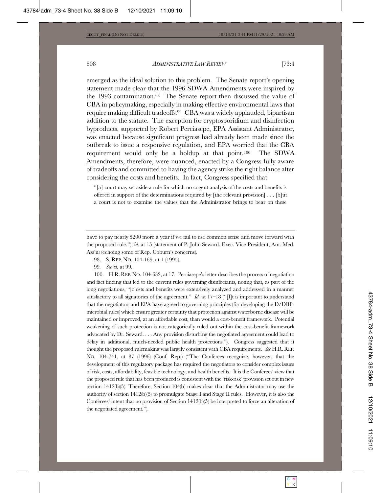emerged as the ideal solution to this problem. The Senate report's opening statement made clear that the  $1996$  SDWA Amendments were inspired by the 1993 contamination.<sup>98</sup> The Senate report then discussed the value of CBA in policymaking, especially in making effective environmental laws that require making difficult tradeoffs.<sup>99</sup> CBA was a widely applauded, bipartisan addition to the statute. The exception for cryptosporidium and disinfection byproducts, supported by Robert Perciasepe, EPA Assistant Administrator, was enacted because significant progress had already been made since the outbreak to issue a responsive regulation, and EPA worried that the CBA requirement would only be a holdup at that point.<sup>100</sup> The SDWA Amendments, therefore, were nuanced, enacted by a Congress fully aware of tradeoffs and committed to having the agency strike the right balance after considering the costs and benefits. In fact, Congress specified that

"[a] court may set aside a rule for which no cogent analysis of the costs and benefits is offered in support of the determinations required by [the relevant provision]  $\dots$  [b]ut a court is not to examine the values that the Administrator brings to bear on these

have to pay nearly \$200 more a year if we fail to use common sense and move forward with the proposed rule."); id. at 15 (statement of P. John Seward, Exec. Vice President, Am. Med. Ass'n) (echoing some of Rep. Coburn's concerns).

- 98. S. REP. NO. 104-169, at 1 (1995).
- 99. *See id.* at 99.

100. H.R. REP. NO. 104-632, at 17. Perciasepe's letter describes the process of negotiation and fact finding that led to the current rules governing disinfectants, noting that, as part of the long negotiations, "[c]osts and benefits were extensively analyzed and addressed in a manner satisfactory to all signatories of the agreement."  $Id$  at  $17-18$  (" $\Pi$ t is important to understand that the negotiators and EPA have agreed to governing principles (for developing the  $D/DBP$ microbial rules) which ensure greater certainty that protection against waterborne disease will be maintained or improved, at an affordable cost, than would a cost-benefit framework. Potential weakening of such protection is not categorically ruled out within the cost-benefit framework advocated by Dr. Seward. . . . Any provision disturbing the negotiated agreement could lead to delay in additional, much-needed public health protections."). Congress suggested that it thought the proposed rulemaking was largely consistent with CBA requirements. See H.R. REP. NO.  $104-741$ , at 87 (1996) (Conf. Rep.) ("The Conferees recognize, however, that the development of this regulatory package has required the negotiators to consider complex issues of risk, costs, affordability, feasible technology, and health benefits. It is the Conferees' view that the proposed rule that has been produced is consistent with the 'risk-risk' provision set out in new section  $1412(b)(5)$ . Therefore, Section  $104(b)$  makes clear that the Administrator may use the authority of section  $1412(b)(5)$  to promulgate Stage I and Stage II rules. However, it is also the Conferees' intent that no provision of Section  $1412(b)(5)$  be interpreted to force an alteration of the negotiated agreement.").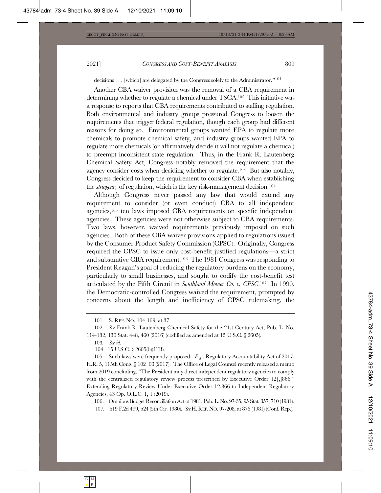decisions . . . [which] are delegated by the Congress solely to the Administrator."<sup>101</sup>

Another CBA waiver provision was the removal of a CBA requirement in determining whether to regulate a chemical under  $TSCA^{102}$ . This initiative was a response to reports that CBA requirements contributed to stalling regulation. Both environmental and industry groups pressured Congress to loosen the requirements that trigger federal regulation, though each group had different reasons for doing so. Environmental groups wanted EPA to regulate more chemicals to promote chemical safety, and industry groups wanted EPA to regulate more chemicals (or affirmatively decide it will not regulate a chemical) to preempt inconsistent state regulation. Thus, in the Frank R. Lautenberg Chemical Safety Act, Congress notably removed the requirement that the agency consider costs when deciding whether to regulate.<sup>103</sup> But also notably, Congress decided to keep the requirement to consider CBA when establishing the *stringency* of regulation, which is the key risk-management decision.<sup>104</sup>

Although Congress never passed any law that would extend any requirement to consider (or even conduct) CBA to all independent agencies,<sup>105</sup> ten laws imposed CBA requirements on specific independent agencies. These agencies were not otherwise subject to CBA requirements. Two laws, however, waived requirements previously imposed on such agencies. Both of these CBA waiver provisions applied to regulations issued by the Consumer Product Safety Commission (CPSC). Originally, Congress required the CPSC to issue only cost-benefit justified regulations—a strict and substantive CBA requirement.<sup>106</sup> The 1981 Congress was responding to President Reagan's goal of reducing the regulatory burdens on the economy, particularly to small businesses, and sought to codify the cost-benefit test articulated by the Fifth Circuit in Southland Mower Co. v. CPSC.<sup>107</sup> In 1990, the Democratic-controlled Congress waived the requirement, prompted by  $\mu$  concerns about the length and inefficiency of CPSC rulemaking, the

105. Such laws were frequently proposed. E.g., Regulatory Accountability Act of 2017, H.R. 5, 115th Cong.  $\S$  102–03 (2017). The Office of Legal Counsel recently released a memo from 2019 concluding, "The President may direct independent regulatory agencies to comply with the centralized regulatory review process prescribed by Executive Order  $12$ <sup>[</sup>,]866." Extending Regulatory Review Under Executive Order 12,866 to Independent Regulatory Agencies, 43 Op. O.L.C. 1, 1 (2019).

106. Omnibus Budget Reconciliation Act of 1981, Pub. L. No. 97-35, 95 Stat. 357, 710 (1981). 107. 619 F.2d 499, 524 (5th Cir. 1980). See H. REP. NO. 97-208, at 876 (1981) (Conf. Rep.).

<sup>101.</sup> S. REP. NO. 104-169, at 37.

<sup>102.</sup> See Frank R. Lautenberg Chemical Safety for the 21st Century Act, Pub. L. No. 114-182, 130 Stat. 448, 460 (2016) (codified as amended at 15 U.S.C. § 2605).

<sup>103.</sup> See id.

<sup>104. 15</sup> U.S.C. § 2605(b)(1)(B).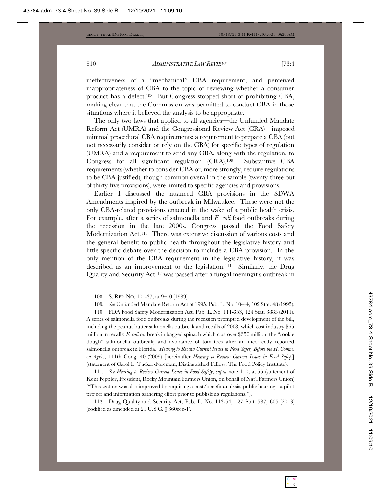ineffectiveness of a "mechanical" CBA requirement, and perceived inappropriateness of CBA to the topic of reviewing whether a consumer product has a defect.<sup>108</sup> But Congress stopped short of prohibiting CBA, making clear that the Commission was permitted to conduct CBA in those situations where it believed the analysis to be appropriate.

The only two laws that applied to all agencies—the Unfunded Mandate Reform Act (UMRA) and the Congressional Review Act (CRA)—imposed minimal procedural CBA requirements: a requirement to prepare a CBA (but not necessarily consider or rely on the CBA) for specific types of regulation (UMRA) and a requirement to send any CBA, along with the regulation, to  $\Gamma$ Congress for all significant regulation  $(CRA).^{109}$  Substantive CBA requirements (whether to consider CBA or, more strongly, require regulations to be CBA-justified), though common overall in the sample (twenty-three out of thirty-five provisions), were limited to specific agencies and provisions.

Earlier I discussed the nuanced CBA provisions in the SDWA Amendments inspired by the outbreak in Milwaukee. These were not the only CBA-related provisions enacted in the wake of a public health crisis. For example, after a series of salmonella and E. coli food outbreaks during the recession in the late  $2000s$ , Congress passed the Food Safety Modernization Act.<sup>110</sup> There was extensive discussion of various costs and the general benefit to public health throughout the legislative history and little specific debate over the decision to include a CBA provision. In the only mention of the CBA requirement in the legislative history, it was described as an improvement to the legislation.<sup>111</sup> Similarly, the Drug Quality and Security Act<sup>112</sup> was passed after a fungal meningitis outbreak in

110. FDA Food Safety Modernization Act, Pub. L. No. 111-353, 124 Stat. 3885 (2011). A series of salmonella food outbreaks during the recession prompted development of the bill, including the peanut butter salmonella outbreak and recalls of 2008, which cost industry  $\$65$ million in recalls; *E. coli* outbreak in bagged spinach which cost over \$350 million; the "cookie dough" salmonella outbreak; and avoidance of tomatoes after an incorrectly reported salmonella outbreak in Florida. Hearing to Review Current Issues in Food Safety Before the H. Comm. on Agric., 111th Cong. 40 (2009) [hereinafter *Hearing to Review Current Issues in Food Safety*] (statement of Carol L. Tucker-Foreman, Distinguished Fellow, The Food Policy Institute).

111. See Hearing to Review Current Issues in Food Safety, supra note 110, at 55 (statement of Kent Peppler, President, Rocky Mountain Farmers Union, on behalf of Nat'l Farmers Union) ("This section was also improved by requiring a cost/benefit analysis, public hearings, a pilot project and information gathering effort prior to publishing regulations.").

112. Drug Quality and Security Act, Pub. L. No. 113-54, 127 Stat. 587, 605 (2013) (codified as amended at 21 U.S.C.  $\S 360$ eee-1).

<sup>108.</sup> S. REP. NO. 101-37, at 9-10 (1989).

<sup>109.</sup> See Unfunded Mandate Reform Act of 1995, Pub. L. No. 104-4, 109 Stat. 48 (1995).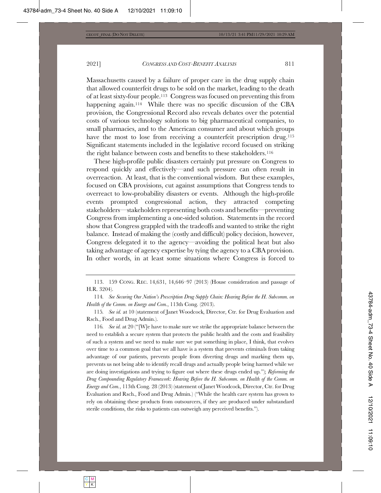Massachusetts caused by a failure of proper care in the drug supply chain that allowed counterfeit drugs to be sold on the market, leading to the death of at least sixty-four people.<sup>113</sup> Congress was focused on preventing this from happening again.<sup>114</sup> While there was no specific discussion of the CBA provision, the Congressional Record also reveals debates over the potential costs of various technology solutions to big pharmaceutical companies, to small pharmacies, and to the American consumer and about which groups have the most to lose from receiving a counterfeit prescription drug.<sup>115</sup> Significant statements included in the legislative record focused on striking the right balance between costs and benefits to these stakeholders.<sup>116</sup>

These high-profile public disasters certainly put pressure on Congress to respond quickly and effectively—and such pressure can often result in overreaction. At least, that is the conventional wisdom. But these examples, focused on CBA provisions, cut against assumptions that Congress tends to overreact to low-probability disasters or events. Although the high-profile events prompted congressional action, they attracted competing stakeholders—stakeholders representing both costs and benefits—preventing Congress from implementing a one-sided solution. Statements in the record show that Congress grappled with the tradeoffs and wanted to strike the right balance. Instead of making the (costly and difficult) policy decision, however, Congress delegated it to the agency—avoiding the political heat but also taking advantage of agency expertise by tying the agency to a CBA provision. In other words, in at least some situations where Congress is forced to

113. 159 CONG. REC. 14,631, 14,646-97 (2013) (House consideration and passage of H.R. 3204).

114. See Securing Our Nation's Prescription Drug Supply Chain: Hearing Before the H. Subcomm. on *Health of the Comm. on Energy and Com.*, 113th Cong. (2013).

115. See id. at 10 (statement of Janet Woodcock, Director, Ctr. for Drug Evaluation and Rsch., Food and Drug Admin.).

116. See id. at 20 ("[W]e have to make sure we strike the appropriate balance between the need to establish a secure system that protects the public health and the costs and feasibility of such a system and we need to make sure we put something in place, I think, that evolves over time to a common goal that we all have is a system that prevents criminals from taking advantage of our patients, prevents people from diverting drugs and marking them up, prevents us not being able to identify recall drugs and actually people being harmed while we are doing investigations and trying to figure out where these drugs ended up.");  $Refoming$  the Drug Compounding Regulatory Framework: Hearing Before the H. Subcomm. on Health of the Comm. on *Energy and Com.*, 113th Cong. 28 (2013) (statement of Janet Woodcock, Director, Ctr. for Drug Evaluation and Rsch., Food and Drug Admin.) ("While the health care system has grown to rely on obtaining these products from outsourcers, if they are produced under substandard sterile conditions, the risks to patients can outweigh any perceived benefits.").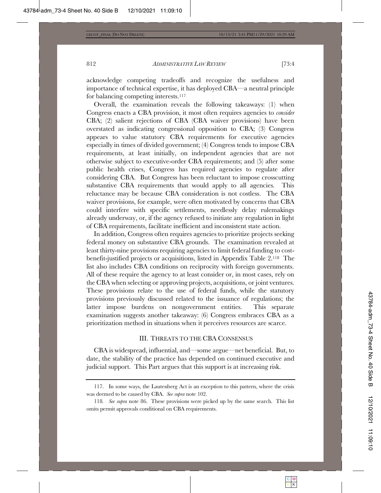acknowledge competing tradeoffs and recognize the usefulness and importance of technical expertise, it has deployed CBA—a neutral principle for balancing competing interests. $117$ 

Overall, the examination reveals the following takeaways:  $(1)$  when Congress enacts a CBA provision, it most often requires agencies to *consider* CBA; (2) salient rejections of CBA (CBA waiver provisions) have been overstated as indicating congressional opposition to CBA;  $(3)$  Congress appears to value statutory CBA requirements for executive agencies especially in times of divided government;  $(4)$  Congress tends to impose CBA requirements, at least initially, on independent agencies that are not otherwise subject to executive-order CBA requirements; and (5) after some public health crises, Congress has required agencies to regulate after considering CBA. But Congress has been reluctant to impose crosscutting substantive CBA requirements that would apply to all agencies. This reluctance may be because CBA consideration is not costless. The CBA waiver provisions, for example, were often motivated by concerns that CBA could interfere with specific settlements, needlessly delay rulemakings already underway, or, if the agency refused to initiate any regulation in light of CBA requirements, facilitate inefficient and inconsistent state action.

In addition, Congress often requires agencies to prioritize projects seeking federal money on substantive CBA grounds. The examination revealed at  $\Delta$ least thirty-nine provisions requiring agencies to limit federal funding to costbenefit-justified projects or acquisitions, listed in Appendix Table 2.<sup>118</sup> The list also includes CBA conditions on reciprocity with foreign governments. All of these require the agency to at least consider or, in most cases, rely on the CBA when selecting or approving projects, acquisitions, or joint ventures. These provisions relate to the use of federal funds, while the statutory provisions previously discussed related to the issuance of regulations; the latter impose burdens on nongovernment entities. This separate examination suggests another takeaway: (6) Congress embraces CBA as a prioritization method in situations when it perceives resources are scarce.

### III. THREATS TO THE CBA CONSENSUS

 $CBA$  is widespread, influential, and—some argue—net beneficial. But, to date, the stability of the practice has depended on continued executive and judicial support. This Part argues that this support is at increasing risk.

<sup>117.</sup> In some ways, the Lautenberg Act is an exception to this pattern, where the crisis was deemed to be caused by CBA. See supra note 102.

<sup>118.</sup> See supra note 86. These provisions were picked up by the same search. This list omits permit approvals conditional on CBA requirements.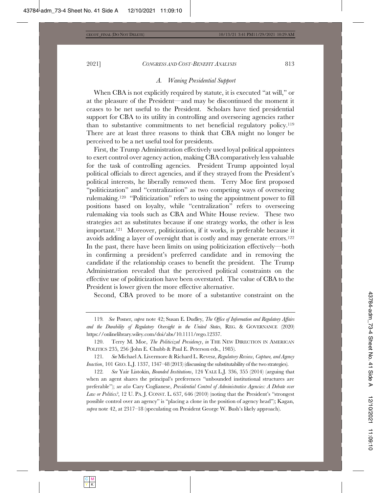#### *A. Waning Presidential Support*

When CBA is not explicitly required by statute, it is executed "at will," or at the pleasure of the President—and may be discontinued the moment it ceases to be net useful to the President. Scholars have tied presidential support for CBA to its utility in controlling and overseeing agencies rather than to substantive commitments to net beneficial regulatory policy.<sup>119</sup> There are at least three reasons to think that CBA might no longer be perceived to be a net useful tool for presidents.

First, the Trump Administration effectively used loyal political appointees to exert control over agency action, making CBA comparatively less valuable for the task of controlling agencies. President Trump appointed loyal political officials to direct agencies, and if they strayed from the President's political interests, he liberally removed them. Terry Moe first proposed "politicization" and "centralization" as two competing ways of overseeing rulemaking.<sup>120</sup> "Politicization" refers to using the appointment power to fill positions based on loyalty, while "centralization" refers to overseeing rulemaking via tools such as CBA and White House review. These two strategies act as substitutes because if one strategy works, the other is less important.<sup>121</sup> Moreover, politicization, if it works, is preferable because it avoids adding a layer of oversight that is costly and may generate errors.<sup>122</sup> In the past, there have been limits on using politicization effectively—both in confirming a president's preferred candidate and in removing the candidate if the relationship ceases to benefit the president. The Trump Administration revealed that the perceived political constraints on the effective use of politicization have been overstated. The value of CBA to the President is lower given the more effective alternative.

Second, CBA proved to be more of a substantive constraint on the

*<sup>119.</sup> See Posner, supra note 42; Susan E. Dudley, The Office of Information and Regulatory Affairs* and the Durability of Regulatory Oversight in the United States, REG. & GOVERNANCE (2020) https://onlinelibrary.wiley.com/doi/abs/10.1111/rego.12337.

<sup>120.</sup> Terry M. Moe, *The Politicized Presidency*, in THE NEW DIRECTION IN AMERICAN POLITICS 235, 256 (John E. Chubb & Paul E. Peterson eds., 1985).

<sup>121.</sup> See Michael A. Livermore & Richard L. Revesz, Regulatory Review, Capture, and Agency *Inaction*, 101 GEO. L.J. 1337, 1347–48 (2013) (discussing the substitutability of the two strategies).

<sup>122.</sup> See Yair Listokin, *Bounded Institutions*, 124 YALE L.J. 336, 355 (2014) (arguing that when an agent shares the principal's preferences "unbounded institutional structures are preferable"); see also Cary Coglianese, *Presidential Control of Administrative Agencies: A Debate over Law or Politics*?, 12 U. PA. J. CONST. L. 637, 646 (2010) (noting that the President's "strongest possible control over an agency" is "placing a clone in the position of agency head"); Kagan, supra note 42, at 2317-18 (speculating on President George W. Bush's likely approach).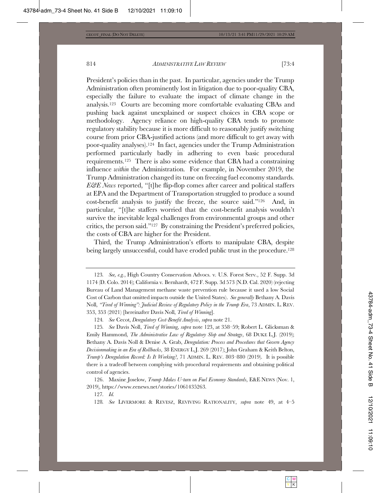President's policies than in the past. In particular, agencies under the Trump Administration often prominently lost in litigation due to poor-quality CBA, especially the failure to evaluate the impact of climate change in the analysis.<sup>123</sup> Courts are becoming more comfortable evaluating CBAs and pushing back against unexplained or suspect choices in CBA scope or methodology. Agency reliance on high-quality CBA tends to promote regulatory stability because it is more difficult to reasonably justify switching course from prior CBA-justified actions (and more difficult to get away with poor-quality analyses).<sup>124</sup> In fact, agencies under the Trump Administration performed particularly badly in adhering to even basic procedural requirements.<sup>125</sup> There is also some evidence that CBA had a constraining influence within the Administration. For example, in November 2019, the Trump Administration changed its tune on freezing fuel economy standards.  $E\mathcal{C}\!\!\mathcal{E}\!\!\mathit{N}\!\mathit{e}\!\mathit{u}$  reported, "[t]he flip-flop comes after career and political staffers at EPA and the Department of Transportation struggled to produce a sound cost-benefit analysis to justify the freeze, the source said."<sup>126</sup> And, in particular, "[t]he staffers worried that the cost-benefit analysis wouldn't survive the inevitable legal challenges from environmental groups and other critics, the person said." $^{127}$  By constraining the President's preferred policies, the costs of CBA are higher for the President.

Third, the Trump Administration's efforts to manipulate CBA, despite being largely unsuccessful, could have eroded public trust in the procedure.<sup>128</sup>

<sup>123.</sup> See, e.g., High Country Conservation Advocs. v. U.S. Forest Serv., 52 F. Supp. 3d 1174 (D. Colo. 2014); California v. Bernhardt, 472 F. Supp. 3d 573 (N.D. Cal. 2020) (rejecting Bureau of Land Management methane waste prevention rule because it used a low Social Cost of Carbon that omitted impacts outside the United States). See generally Bethany A. Davis 6WH, "Tired of Winning": Judicial Review of Regulatory Policy in the Trump Era, 73 ADMIN. L. REV. 353, 353 (2021) [hereinafter Davis Noll, *Tired of Winning*].

<sup>124.</sup> See Cecot, Deregulatory Cost-Benefit Analysis, supra note 21.

<sup>125.</sup> See Davis Noll, *Tired of Winning*, *supra* note 123, at 358–59; Robert L. Glicksman & Emily Hammond, *The Administrative Law of Regulatory Slop and Strategy*, 68 DUKE L.J. (2019); Bethany A. Davis Noll & Denise A. Grab, *Deregulation: Process and Procedures that Govern Agency* Decisionmaking in an Era of Rollbacks, 38 ENERGY L.J. 269 (2017); John Graham & Keith Belton, *Trump's Deregulation Record: Is It Working?*, 71 ADMIN. L. REV. 803-880 (2019). It is possible there is a tradeoff between complying with procedural requirements and obtaining political control of agencies.

<sup>126.</sup> Maxine Joselow, Trump Makes U-turn on Fuel Economy Standards, E&E NEWS (Nov. 1, 2019), https://www.eenews.net/stories/1061435263.

*<sup>127.</sup> Id.* 

<sup>128.</sup> See LIVERMORE & REVESZ, REVIVING RATIONALITY, supra note 49, at 4-5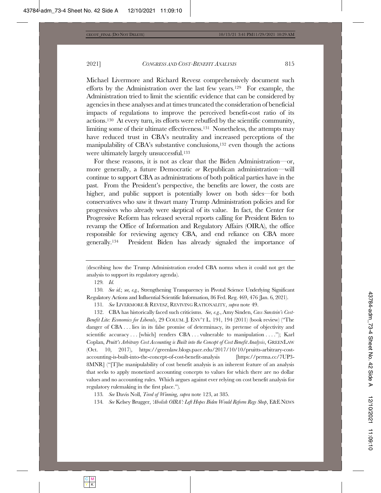Michael Livermore and Richard Revesz comprehensively document such efforts by the Administration over the last few years.<sup>129</sup> For example, the Administration tried to limit the scientific evidence that can be considered by agencies in these analyses and at times truncated the consideration of beneficial impacts of regulations to improve the perceived benefit-cost ratio of its actions.<sup>130</sup> At every turn, its efforts were rebuffed by the scientific community, limiting some of their ultimate effectiveness.<sup>131</sup> Nonetheless, the attempts may have reduced trust in CBA's neutrality and increased perceptions of the manipulability of CBA's substantive conclusions,<sup>132</sup> even though the actions were ultimately largely unsuccessful.<sup>133</sup>

For these reasons, it is not as clear that the Biden Administration—or, more generally, a future Democratic *or* Republican administration—will continue to support CBA as administrations of both political parties have in the past. From the President's perspective, the benefits are lower, the costs are higher, and public support is potentially lower on both sides—for both conservatives who saw it thwart many Trump Administration policies and for progressives who already were skeptical of its value. In fact, the Center for Progressive Reform has released several reports calling for President Biden to revamp the Office of Information and Regulatory Affairs (OIRA), the office responsible for reviewing agency CBA, and end reliance on CBA more generally.<sup>134</sup> President Biden has already signaled the importance of

129. Id.

130. See id.; see, e.g., Strengthening Transparency in Pivotal Science Underlying Significant Regulatory Actions and Influential Scientific Information, 86 Fed. Reg. 469, 476 (Jan. 6, 2021).

131. See LIVERMORE & REVESZ, REVIVING RATIONALITY, supra note 49.

132. CBA has historically faced such criticisms. See, e.g., Amy Sinden, Cass Sunstein's Cost-*Benefit Lite: Economics for Liberals,* 29 COLUM. J. ENV'T L. 191, 194 (2011) (book review) ("The danger of CBA... lies in its false promise of determinacy, its pretense of objectivity and scientific accuracy... [which] renders CBA... vulnerable to manipulation...."); Karl  $\emph{Coplan},$  Pruitt's Arbitrary Cost Accounting is Built into the Concept of Cost Benefit Analysis, GREENLAW  $(Oct. 10, 2017),$  https://greenlaw.blogs.pace.edu/2017/10/10/pruitts-arbitrary-costaccounting-is-built-into-the-concept-of-cost-benefit-analysis [https://perma.cc/7UP3- $665$   $66$   $\frac{1}{20}$  Tivilary manipulability of cost benefit analysis is an inherent feature of an analysis that seeks to apply monetized accounting concepts to values for which there are no dollar values and no accounting rules. Which argues against ever relying on cost benefit analysis for regulatory rulemaking in the first place.").

133. See Davis Noll, Tired of Winning, supra note 123, at 385.

134. See Kelsey Brugger, 'Abolish OIRA': Left Hopes Biden Would Reform Regs Shop, E&E NEWS

<sup>(</sup>describing how the Trump Administration eroded CBA norms when it could not get the analysis to support its regulatory agenda).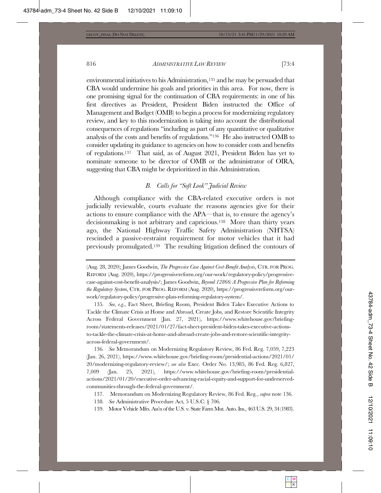environmental initiatives to his Administration,  $135$  and he may be persuaded that CBA would undermine his goals and priorities in this area. For now, there is one promising signal for the continuation of CBA requirements: in one of his first directives as President, President Biden instructed the Office of Management and Budget (OMB) to begin a process for modernizing regulatory review, and key to this modernization is taking into account the distributional consequences of regulations "including as part of any quantitative or qualitative analysis of the costs and benefits of regulations."<sup>136</sup> He also instructed OMB to consider updating its guidance to agencies on how to consider costs and benefits of regulations.<sup>137</sup> That said, as of August 2021, President Biden has yet to nominate someone to be director of  $\overline{\text{OMB}}$  or the administrator of  $\overline{\text{OIRA}}$ , suggesting that CBA might be deprioritized in this Administration.

## *B. Calls for "Soft Look" Judicial Review*

Although compliance with the CBA-related executive orders is not judicially reviewable, courts evaluate the reasons agencies give for their actions to ensure compliance with the APA—that is, to ensure the agency's decisionmaking is not arbitrary and capricious.<sup>138</sup> More than thirty years ago, the National Highway Traffic Safety Administration (NHTSA) rescinded a passive-restraint requirement for motor vehicles that it had previously promulgated.<sup>139</sup> The resulting litigation defined the contours of

135. *See, e.g.*, Fact Sheet, Briefing Room, President Biden Takes Executive Actions to Tackle the Climate Crisis at Home and Abroad, Create Jobs, and Restore Scientific Integrity Across Federal Government (Jan. 27, 2021), https://www.whitehouse.gov/briefingroom/statements-releases/2021/01/27/fact-sheet-president-biden-takes-executive-actionsto-tackle-the-climate-crisis-at-home-and-abroad-create-jobs-and-restore-scientific-integrityacross-federal-government/.

136. See Memorandum on Modernizing Regulatory Review, 86 Fed. Reg. 7,059, 7,223 (Jan. 26, 2021), https://www.whitehouse.gov/briefing-room/presidential-actions/2021/01/ 20/modernizing-regulatory-review/; see also Exec. Order No. 13,985, 86 Fed. Reg. 6,827, 7,009 (Jan. 25, 2021), https://www.whitehouse.gov/briefing-room/presidentialactions/2021/01/20/executive-order-advancing-racial-equity-and-support-for-underservedcommunities-through-the-federal-government/.

137. Memorandum on Modernizing Regulatory Review, 86 Fed. Reg., *supra* note 136.

138. See Administrative Procedure Act, 5 U.S.C. § 706.

139. Motor Vehicle Mfrs. Ass'n of the U.S. v. State Farm Mut. Auto. Ins., 463 U.S. 29, 34 (1983).

<sup>(</sup>Aug. 28, 2020); James Goodwin, *The Progressive Case Against Cost-Benefit Analysis*, CTR. FOR PROG. REFORM (Aug. 2020), https://progressivereform.org/our-work/regulatory-policy/progressivecase-against-cost-benefit-analysis/; James Goodwin, Beyond 12866: A Progressive Plan for Reforming *the Regulatory System, CTR. FOR PROG. REFORM (Aug. 2020), https://progressivereform.org/our*work/regulatory-policy/progressive-plan-reforming-regulatory-system/.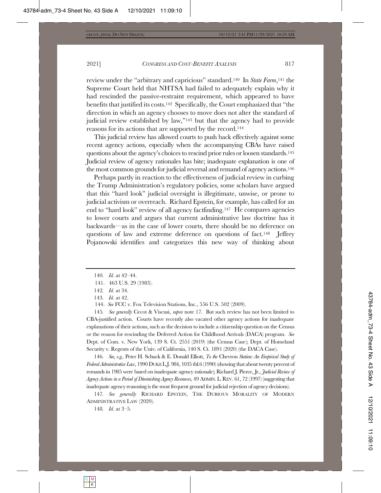review under the "arbitrary and capricious" standard.<sup>140</sup> In State Farm,<sup>141</sup> the Supreme Court held that NHTSA had failed to adequately explain why it had rescinded the passive-restraint requirement, which appeared to have benefits that justified its costs.<sup>142</sup> Specifically, the Court emphasized that "the direction in which an agency chooses to move does not alter the standard of judicial review established by law," $143$  but that the agency had to provide reasons for its actions that are supported by the record.<sup>144</sup>

This judicial review has allowed courts to push back effectively against some recent agency actions, especially when the accompanying CBAs have raised questions about the agency's choices to rescind prior rules or loosen standards.<sup>145</sup> Judicial review of agency rationales has bite; inadequate explanation is one of the most common grounds for judicial reversal and remand of agency actions.<sup>146</sup>

Perhaps partly in reaction to the effectiveness of judicial review in curbing the Trump Administration's regulatory policies, some scholars have argued that this "hard look" judicial oversight is illegitimate, unwise, or prone to judicial activism or overreach. Richard Epstein, for example, has called for an end to "hard look" review of all agency factfinding.<sup>147</sup> He compares agencies to lower courts and argues that current administrative law doctrine has it backwards—as in the case of lower courts, there should be no deference on questions of law and extreme deference on questions of fact.<sup>148</sup> [effrey Pojanowski identifies and categorizes this new way of thinking about

143. *Id.* at 42.

145. See generally Cecot & Viscusi, supra note 17. But such review has not been limited to CBA-justified action. Courts have recently also vacated other agency actions for inadequate  $explanations of their actions, such as the decision to include a citizenship question on the Census$ or the reason for rescinding the Deferred Action for Childhood Arrivals (DACA) program. See Dept. of Com. v. New York, 139 S. Ct. 2551 (2019) (the Census Case); Dept. of Homeland Security v. Regents of the Univ. of California, 140 S. Ct. 1891 (2020) (the DACA Case).

146. See, e.g., Peter H. Schuck & E. Donald Elliott, To the Chevron Station: An Empirical Study of Federal Administrative Law, 1990 DUKE L.J. 984, 1035 tbl.6 (1990) (showing that about twenty percent of remands in 1985 were based on inadequate agency rationale); Richard J. Pierce, Jr., *Judicial Review of* Agency Actions in a Period of Diminishing Agency Resources, 49 ADMIN. L. REV. 61, 72 (1997) (suggesting that inadequate agency reasoning is the most frequent ground for judicial rejection of agency decisions).

147. See generally RICHARD EPSTEIN, THE DUBIOUS MORALITY OF MODERN ADMINISTRATIVE LAW (2020).

148. *Id.* at 3-5.

<sup>140.</sup> *Id.* at 42-44.

<sup>141. 463</sup> U.S. 29 (1983).

<sup>142.</sup> *Id.* at 34.

<sup>144.</sup> See FCC v. Fox Television Stations, Inc., 556 U.S. 502 (2009).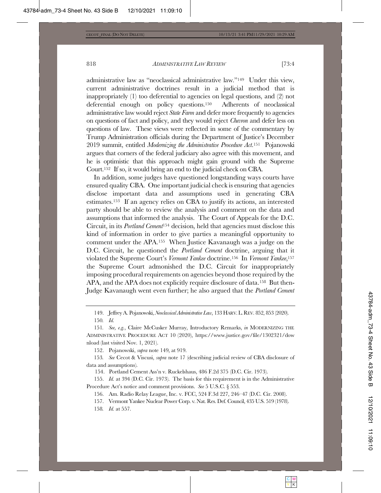administrative law as "neoclassical administrative law."<sup>149</sup> Under this view,  $L$  current administrative doctrines result in a judicial method that is inappropriately  $(1)$  too deferential to agencies on legal questions, and  $(2)$  not deferential enough on policy questions.<sup>150</sup> Adherents of neoclassical administrative law would reject State Farm and defer more frequently to agencies on questions of fact and policy, and they would reject *Chevron* and defer less on questions of law. These views were reflected in some of the commentary by Trump Administration officials during the Department of Justice's December 2019 summit, entitled *Modemizing the Administrative Procedure Act.*<sup>151</sup> Pojanowski argues that corners of the federal judiciary also agree with this movement, and he is optimistic that this approach might gain ground with the Supreme Court.<sup>152</sup> If so, it would bring an end to the judicial check on CBA.

In addition, some judges have questioned longstanding ways courts have ensured quality CBA. One important judicial check is ensuring that agencies disclose important data and assumptions used in generating CBA estimates.<sup>153</sup> If an agency relies on CBA to justify its actions, an interested party should be able to review the analysis and comment on the data and assumptions that informed the analysis. The Court of Appeals for the D.C. Circuit, in its *Portland Cement*<sup>154</sup> decision, held that agencies must disclose this kind of information in order to give parties a meaningful opportunity to comment under the APA.<sup>155</sup> When Justice Kavanaugh was a judge on the D.C. Circuit, he questioned the *Portland Cement* doctrine, arguing that it violated the Supreme Court's Vermont Yankee doctrine.<sup>156</sup> In Vermont Yankee,<sup>157</sup> the Supreme Court admonished the D.C. Circuit for inappropriately imposing procedural requirements on agencies beyond those required by the  $APA$ , and the APA does not explicitly require disclosure of data.<sup>158</sup> But then-Judge Kavanaugh went even further; he also argued that the *Portland Cement* 

152. Pojanowski, *supra* note 149, at 919.

153. See Cecot & Viscusi, *supra* note 17 (describing judicial review of CBA disclosure of data and assumptions).

154. Portland Cement Ass'n v. Ruckelshaus, 486 F.2d 375 (D.C. Cir. 1973).

155. *Id.* at 394 (D.C. Cir. 1973). The basis for this requirement is in the Administrative Procedure Act's notice and comment provisions. See 5 U.S.C. § 553.

156. Am. Radio Relay League, Inc. v. FCC, 524 F.3d 227, 246-47 (D.C. Cir. 2008).

157. Vermont Yankee Nuclear Power Corp. v. Nat. Res. Def. Council, 435 U.S. 519 (1978).

158. *Id.* at 557.

<sup>149.</sup> Jeffrey A. Pojanowski, Neoclassical Administrative Law, 133 HARV. L. REV. 852, 853 (2020).  $150.$  *Id.* 

<sup>151.</sup> See, e.g., Claire McCusker Murray, Introductory Remarks, in MODERNIZING THE ADMINISTRATIVE PROCEDURE ACT 10 (2020), https://www.justice.gov/file/1302321/dow nload (last visited Nov. 1, 2021).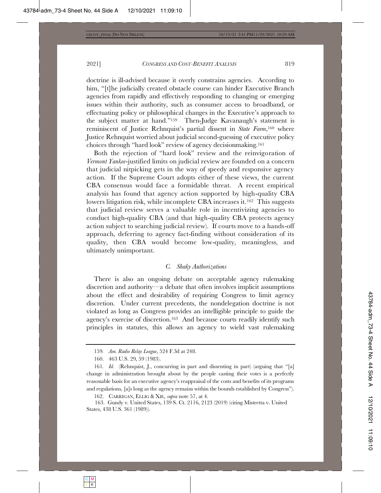doctrine is ill-advised because it overly constrains agencies. According to him, "[t]he judicially created obstacle course can hinder Executive Branch agencies from rapidly and effectively responding to changing or emerging issues within their authority, such as consumer access to broadband, or effectuating policy or philosophical changes in the Executive's approach to the subject matter at hand."<sup>159</sup> Then-Judge Kavanaugh's statement is reminiscent of Justice Rehnquist's partial dissent in State Farm,<sup>160</sup> where Justice Rehnquist worried about judicial second-guessing of executive policy choices through "hard look" review of agency decisionmaking.<sup>161</sup>

Both the rejection of "hard look" review and the reinvigoration of Vermont Yankee-justified limits on judicial review are founded on a concern that judicial nitpicking gets in the way of speedy and responsive agency action. If the Supreme Court adopts either of these views, the current CBA consensus would face a formidable threat. A recent empirical analysis has found that agency action supported by high-quality CBA lowers litigation risk, while incomplete CBA increases it.<sup>162</sup> This suggests that judicial review serves a valuable role in incentivizing agencies to conduct high-quality CBA (and that high-quality CBA protects agency action subject to searching judicial review). If courts move to a hands-off approach, deferring to agency fact-finding without consideration of its quality, then CBA would become low-quality, meaningless, and ultimately unimportant.

## *C.* Shaky Authorizations

There is also an ongoing debate on acceptable agency rulemaking discretion and authority—a debate that often involves implicit assumptions about the effect and desirability of requiring Congress to limit agency discretion. Under current precedents, the nondelegation doctrine is not violated as long as Congress provides an intelligible principle to guide the agency's exercise of discretion.<sup>163</sup> And because courts readily identify such principles in statutes, this allows an agency to wield vast rulemaking

162. CARRIGAN, ELLIG & XIE, *supra* note 57, at 4.

163. Gundy v. United States, 139 S. Ct. 2116, 2123 (2019) (citing Mistretta v. United States, 438 U.S. 361 (1989)).

<sup>159.</sup> Am. Radio Relay League, 524 F.3d at 248.

<sup>160. 463</sup> U.S. 29, 59 (1983).

<sup>161.</sup> *Id.* (Rehnquist, J., concurring in part and dissenting in part) (arguing that "[a] change in administration brought about by the people casting their votes is a perfectly reasonable basis for an executive agency's reappraisal of the costs and benefits of its programs and regulations, [a]s long as the agency remains within the bounds established by Congress").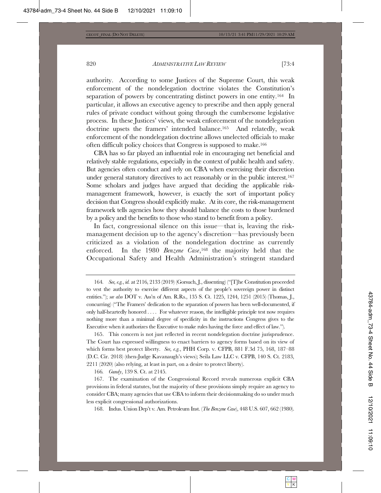authority. According to some Justices of the Supreme Court, this weak enforcement of the nondelegation doctrine violates the Constitution's separation of powers by concentrating distinct powers in one entity.<sup>164</sup> In particular, it allows an executive agency to prescribe and then apply general rules of private conduct without going through the cumbersome legislative process. In these Justices' views, the weak enforcement of the nondelegation doctrine upsets the framers' intended balance.<sup>165</sup> And relatedly, weak enforcement of the nondelegation doctrine allows unelected officials to make often difficult policy choices that Congress is supposed to make.<sup>166</sup>

CBA has so far played an influential role in encouraging net beneficial and  $\mathcal{M}\to\mathcal{M}\$  relatively stable regulations, especially in the context of public health and safety. But agencies often conduct and rely on CBA when exercising their discretion under general statutory directives to act reasonably or in the public interest.<sup>167</sup> Some scholars and judges have argued that deciding the applicable riskmanagement framework, however, is exactly the sort of important policy decision that Congress should explicitly make. At its core, the risk-management framework tells agencies how they should balance the costs to those burdened by a policy and the benefits to those who stand to benefit from a policy.

In fact, congressional silence on this issue—that is, leaving the riskmanagement decision up to the agency's discretion—has previously been criticized as a violation of the nondelegation doctrine as currently enforced. In the 1980 *Benzene Case*,<sup>168</sup> the majority held that the Occupational Safety and Health Administration's stringent standard

166. *Gundy*, 139 S. Ct. at 2145.

168. Indus. Union Dep't v. Am. Petroleum Inst. (The Benzene Case), 448 U.S. 607, 662 (1980).

<sup>164.</sup> See, e.g., id. at 2116, 2133 (2019) (Gorsuch, J., dissenting) ("The Constitution proceeded to vest the authority to exercise different aspects of the people's sovereign power in distinct entities."); see also DOT v. Ass'n of Am. R.Rs., 135 S. Ct. 1225, 1244, 1251 (2015) (Thomas, J., concurring) ("The Framers' dedication to the separation of powers has been well-documented, if only half-heartedly honored  $\dots$  For whatever reason, the intelligible principle test now requires nothing more than a minimal degree of specificity in the instructions Congress gives to the Executive when it authorizes the Executive to make rules having the force and effect of law.").

<sup>165.</sup> This concern is not just reflected in recent nondelegation doctrine jurisprudence. The Court has expressed willingness to enact barriers to agency forms based on its view of which forms best protect liberty. See, e.g., PHH Corp. v. CFPB, 881 F.3d 75, 168, 187–88 (D.C. Cir. 2018) (then-Judge Kavanaugh's views); Seila Law LLC v. CFPB, 140 S. Ct. 2183,  $2211(2020)$  (also relying, at least in part, on a desire to protect liberty).

<sup>167.</sup> The examination of the Congressional Record reveals numerous explicit CBA provisions in federal statutes, but the majority of these provisions simply require an agency to consider CBA; many agencies that use CBA to inform their decision making do so under much less explicit congressional authorizations.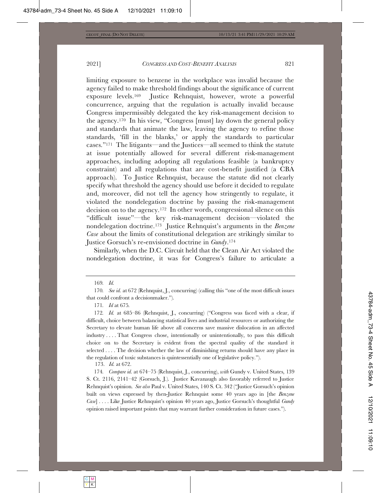limiting exposure to benzene in the workplace was invalid because the agency failed to make threshold findings about the significance of current exposure levels.<sup>169</sup> Justice Rehnquist, however, wrote a powerful concurrence, arguing that the regulation is actually invalid because Congress impermissibly delegated the key risk-management decision to the agency.<sup>170</sup> In his view, "Congress [must] lay down the general policy and standards that animate the law, leaving the agency to refine those standards, 'fill in the blanks,' or apply the standards to particular cases." $^{171}$  The litigants—and the Justices—all seemed to think the statute at issue potentially allowed for several different risk-management approaches, including adopting all regulations feasible (a bankruptcy  $R$  constraint) and all regulations that are cost-benefit justified (a CBA approach). To Justice Rehnquist, because the statute did not clearly specify what threshold the agency should use before it decided to regulate and, moreover, did not tell the agency how stringently to regulate, it violated the nondelegation doctrine by passing the risk-management decision on to the agency.<sup>172</sup> In other words, congressional silence on this "difficult issue"—the key risk-management decision—violated the nondelegation doctrine.<sup>173</sup> Justice Rehnquist's arguments in the Benzene *Case* about the limits of constitutional delegation are strikingly similar to Justice Gorsuch's re-envisioned doctrine in *Gundy*.<sup>174</sup>

Similarly, when the D.C. Circuit held that the Clean Air Act violated the nondelegation doctrine, it was for Congress's failure to articulate a

169. Id.

173. *Id.* at 672.

174. Compare id. at 674–75 (Rehnquist, J., concurring), with Gundy v. United States, 139 S. Ct. 2116, 2141-42 (Gorsuch, J.). Justice Kavanaugh also favorably referred to Justice Rehnquist's opinion. See also Paul v. United States, 140 S. Ct. 342 ("Justice Gorsuch's opinion built on views expressed by then-Justice Rehnquist some 40 years ago in [the *Benzene Case*]....Like Justice Rehnquist's opinion 40 years ago, Justice Gorsuch's thoughtful *Gundy* opinion raised important points that may warrant further consideration in future cases.").

<sup>170.</sup> See id. at 672 (Rehnquist, J., concurring) (calling this "one of the most difficult issues that could confront a decision maker.").

<sup>171.</sup> *Id* at 675.

<sup>172.</sup> Id. at 685-86 (Rehnquist, J., concurring) ("Congress was faced with a clear, if difficult, choice between balancing statistical lives and industrial resources or authorizing the Secretary to elevate human life above all concerns save massive dislocation in an affected  $\text{industry}\dots$  That Congress chose, intentionally or unintentionally, to pass this difficult choice on to the Secretary is evident from the spectral quality of the standard it selected  $\dots$ . The decision whether the law of diminishing returns should have any place in the regulation of toxic substances is quintessentially one of legislative policy.").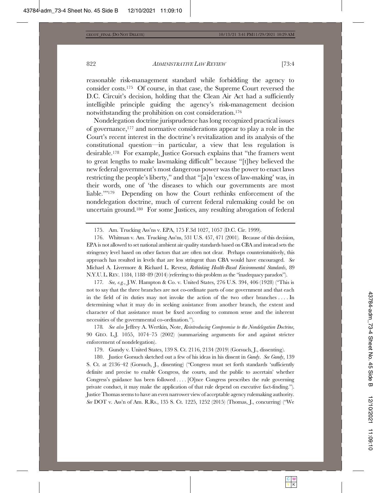reasonable risk-management standard while forbidding the agency to consider costs.<sup>175</sup> Of course, in that case, the Supreme Court reversed the D.C. Circuit's decision, holding that the Clean Air Act had a sufficiently intelligible principle guiding the agency's risk-management decision notwithstanding the prohibition on cost consideration.<sup>176</sup>

Nondelegation doctrine jurisprudence has long recognized practical issues of governance,<sup>177</sup> and normative considerations appear to play a role in the Court's recent interest in the doctrine's revitalization and its analysis of the constitutional question—in particular, a view that less regulation is desirable.<sup>178</sup> For example, Justice Gorsuch explains that "the framers went to great lengths to make lawmaking difficult" because "[t]hey believed the new federal government's most dangerous power was the power to enact laws restricting the people's liberty," and that "[a]n 'excess of law-making' was, in their words, one of 'the diseases to which our governments are most liable." $179$  Depending on how the Court rethinks enforcement of the nondelegation doctrine, much of current federal rulemaking could be on uncertain ground.<sup>180</sup> For some Justices, any resulting abrogation of federal

175. Am. Trucking Ass'ns v. EPA, 175 F.3d 1027, 1057 (D.C. Cir. 1999).

176. Whitman v. Am. Trucking Ass'ns, 531 U.S. 457, 471 (2001). Because of this decision,  $EPA$  is not allowed to set national ambient air quality standards based on CBA and instead sets the stringency level based on other factors that are often not clear. Perhaps counterintuitively, this approach has resulted in levels that are less stringent than CBA would have encouraged. See Michael A. Livermore & Richard L. Revesz, Rethinking Health-Based Environmental Standards, 89 N.Y.U. L. REV. 1184, 1188-89 (2014) (referring to this problem as the "inadequacy paradox").

177. See, e.g., J.W. Hampton & Co. v. United States, 276 U.S. 394, 406 (1928) ("This is not to say that the three branches are not co-ordinate parts of one government and that each in the field of its duties may not invoke the action of the two other branches  $\dots$ . In determining what it may do in seeking assistance from another branch, the extent and character of that assistance must be fixed according to common sense and the inherent necessities of the governmental co-ordination.").

178. See also Jeffrey A. Wertkin, Note, Reintroducing Compromise to the Nondelegation Doctrine, 90 GEO. L.J.  $1055$ ,  $1074-75$  (2002) (summarizing arguments for and against stricter enforcement of nondelegation).

179. Gundy v. United States, 139 S. Ct. 2116, 2134 (2019) (Gorsuch, J., dissenting).

180. Justice Gorsuch sketched out a few of his ideas in his dissent in *Gundy. See Gundy*, 139 S. Ct. at 2136-42 (Gorsuch, J., dissenting) ("Congress must set forth standards 'sufficiently definite and precise to enable Congress, the courts, and the public to ascertain' whether Congress's guidance has been followed  $\dots$  [O]nce Congress prescribes the rule governing private conduct, it may make the application of that rule depend on executive fact-finding."). Justice Thomas seems to have an even narrower view of acceptable agency rulemaking authority. See DOT v. Ass'n of Am. R.Rs., 135 S. Ct. 1225, 1252 (2015) (Thomas, J., concurring) ("We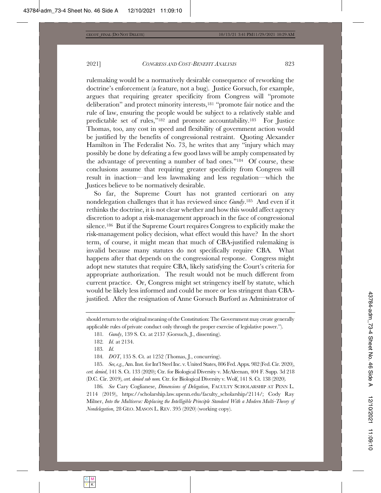rulemaking would be a normatively desirable consequence of reworking the doctrine's enforcement (a feature, not a bug). Justice Gorsuch, for example, argues that requiring greater specificity from Congress will "promote deliberation" and protect minority interests,<sup>181</sup> "promote fair notice and the rule of law, ensuring the people would be subject to a relatively stable and predictable set of rules," $182$  and promote accountability. $183$  For Justice Thomas, too, any cost in speed and flexibility of government action would be justified by the benefits of congressional restraint. Quoting Alexander Hamilton in The Federalist No. 73, he writes that any "injury which may possibly be done by defeating a few good laws will be amply compensated by the advantage of preventing a number of bad ones."<sup>184</sup> Of course, these conclusions assume that requiring greater specificity from Congress will result in inaction—and less lawmaking and less regulation—which the Justices believe to be normatively desirable.

So far, the Supreme Court has not granted certiorari on any nondelegation challenges that it has reviewed since *Gundy*.<sup>185</sup> And even if it rethinks the doctrine, it is not clear whether and how this would affect agency discretion to adopt a risk-management approach in the face of congressional silence.<sup>186</sup> But if the Supreme Court requires Congress to explicitly make the risk-management policy decision, what effect would this have? In the short term, of course, it might mean that much of CBA-justified rulemaking is invalid because many statutes do not specifically require CBA. What happens after that depends on the congressional response. Congress might adopt new statutes that require CBA, likely satisfying the Court's criteria for appropriate authorization. The result would not be much different from current practice. Or, Congress might set stringency itself by statute, which would be likely less informed and could be more or less stringent than CBAjustified. After the resignation of Anne Gorsuch Burford as Administrator of

183. Id.

184. *DOT*, 135 S. Ct. at 1252 (Thomas, J., concurring).

185. See, e.g., Am. Inst. for Int'l Steel Inc. v. United States, 806 Fed. Appx. 982 (Fed. Cir. 2020), cert. denied, 141 S. Ct. 133 (2020); Ctr. for Biological Diversity v. McAleenan, 404 F. Supp. 3d 218 (D.C. Cir. 2019), cert. denied sub nom. Ctr. for Biological Diversity v. Wolf, 141 S. Ct. 138 (2020).

186. See Cary Coglianese, *Dimensions of Delegation*, FACULTY SCHOLARSHIP AT PENN L. 2114 (2019), https://scholarship.law.upenn.edu/faculty\_scholarship/2114/; Cody Ray  $5$ Milner, Into the Multiverse: Replacing the Intelligible Principle Standard With a Modern Multi-Theory of *Nondelegation*, 28 GEO. MASON L. REV. 395 (2020) (working copy).

should return to the original meaning of the Constitution: The Government may create generally applicable rules of private conduct only through the proper exercise of legislative power.").

<sup>181.</sup> *Gundy*, 139 S. Ct. at 2137 (Gorsuch, J., dissenting).

<sup>182.</sup> *Id.* at 2134.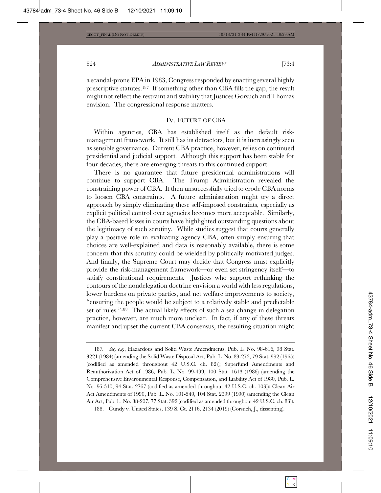a scandal-prone EPA in 1983, Congress responded by enacting several highly prescriptive statutes.<sup>187</sup> If something other than CBA fills the gap, the result might not reflect the restraint and stability that Justices Gorsuch and Thomas envision. The congressional response matters.

#### IV. FUTURE OF CBA

Within agencies, CBA has established itself as the default riskmanagement framework. It still has its detractors, but it is increasingly seen as sensible governance. Current CBA practice, however, relies on continued presidential and judicial support. Although this support has been stable for four decades, there are emerging threats to this continued support.

There is no guarantee that future presidential administrations will continue to support CBA. The Trump Administration revealed the constraining power of CBA. It then unsuccessfully tried to erode CBA norms to loosen CBA constraints. A future administration might try a direct approach by simply eliminating these self-imposed constraints, especially as explicit political control over agencies becomes more acceptable. Similarly, the CBA-based losses in courts have highlighted outstanding questions about the legitimacy of such scrutiny. While studies suggest that courts generally play a positive role in evaluating agency CBA, often simply ensuring that choices are well-explained and data is reasonably available, there is some concern that this scrutiny could be wielded by politically motivated judges. And finally, the Supreme Court may decide that Congress must explicitly provide the risk-management framework—or even set stringency itself—to satisfy constitutional requirements. Justices who support rethinking the contours of the nondelegation doctrine envision a world with less regulations, lower burdens on private parties, and net welfare improvements to society, "ensuring the people would be subject to a relatively stable and predictable set of rules."<sup>188</sup> The actual likely effects of such a sea change in delegation practice, however, are much more unclear. In fact, if any of these threats manifest and upset the current CBA consensus, the resulting situation might

<sup>187.</sup> See, e.g., Hazardous and Solid Waste Amendments, Pub. L. No. 98-616, 98 Stat. 3221 (1984) (amending the Solid Waste Disposal Act, Pub. L. No. 89-272, 79 Stat. 992 (1965) (codified as amended throughout 42 U.S.C. ch. 82)); Superfund Amendments and Reauthorization Act of 1986, Pub. L. No. 99-499, 100 Stat. 1613 (1986) (amending the Comprehensive Environmental Response, Compensation, and Liability Act of 1980, Pub. L. No. 96-510, 94 Stat. 2767 (codified as amended throughout 42 U.S.C. ch. 103)); Clean Air Act Amendments of 1990, Pub. L. No. 101-549, 104 Stat. 2399 (1990) (amending the Clean Air Act, Pub. L. No. 88-207, 77 Stat. 392 (codified as amended throughout  $42$  U.S.C. ch. 83)).

<sup>188.</sup> Gundy v. United States, 139 S. Ct. 2116, 2134 (2019) (Gorsuch, J., dissenting).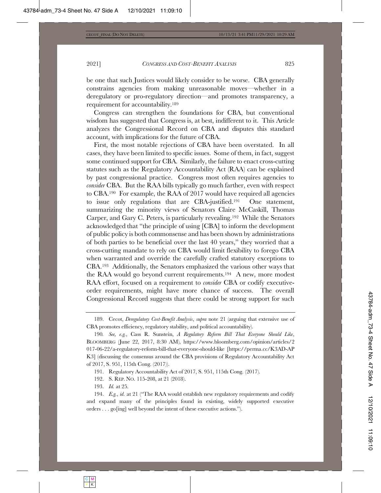be one that such Justices would likely consider to be worse. CBA generally constrains agencies from making unreasonable moves—whether in a deregulatory or pro-regulatory direction—and promotes transparency, a requirement for accountability. $189$ 

Congress can strengthen the foundations for CBA, but conventional wisdom has suggested that Congress is, at best, indifferent to it. This Article analyzes the Congressional Record on CBA and disputes this standard  $\alpha$  account, with implications for the future of CBA.

First, the most notable rejections of CBA have been overstated. In all cases, they have been limited to specific issues. Some of them, in fact, suggest some continued support for CBA. Similarly, the failure to enact cross-cutting statutes such as the Regulatory Accountability Act  $(RAA)$  can be explained by past congressional practice. Congress most often requires agencies to *consider* CBA. But the RAA bills typically go much farther, even with respect to CBA.<sup>190</sup> For example, the RAA of 2017 would have required all agencies to issue only regulations that are CBA-justified.<sup>191</sup> One statement, summarizing the minority views of Senators Claire McCaskill, Thomas Carper, and Gary C. Peters, is particularly revealing.<sup>192</sup> While the Senators acknowledged that "the principle of using [CBA] to inform the development of public policy is both commonsense and has been shown by administrations of both parties to be beneficial over the last 40 years," they worried that a cross-cutting mandate to rely on CBA would limit flexibility to forego  $CBA$ when warranted and override the carefully crafted statutory exceptions to  $CBA$ <sup>193</sup> Additionally, the Senators emphasized the various other ways that the RAA would go beyond current requirements.<sup>194</sup> A new, more modest RAA effort, focused on a requirement to *consider* CBA or codify executiveorder requirements, might have more chance of success. The overall Congressional Record suggests that there could be strong support for such

193. *Id.* at 25.

194. Eg., id. at 21 ("The RAA would establish new regulatory requirements and codify and expand many of the principles found in existing, widely supported executive orders  $\ldots$  go [ing] well beyond the intent of these executive actions.").

<sup>189.</sup> Cecot, *Deregulatory Cost-Benefit Analysis, supra* note 21 (arguing that extensive use of CBA promotes efficiency, regulatory stability, and political accountability).

<sup>190.</sup> See, e.g., Cass R. Sunstein, A Regulatory Reform Bill That Everyone Should Like, BLOOMBERG (June 22, 2017, 8:30 AM), https://www.bloomberg.com/opinion/articles/2 017-06-22/a-regulatory-reform-bill-that-everyone-should-like [https://perma.cc/K3AD-AP K3] (discussing the consensus around the CBA provisions of Regulatory Accountability Act of 2017, S. 951, 115th Cong. (2017).

<sup>191.</sup> Regulatory Accountability Act of 2017, S. 951, 115th Cong. (2017).

<sup>192.</sup> S. REP. NO. 115-208, at 21 (2018).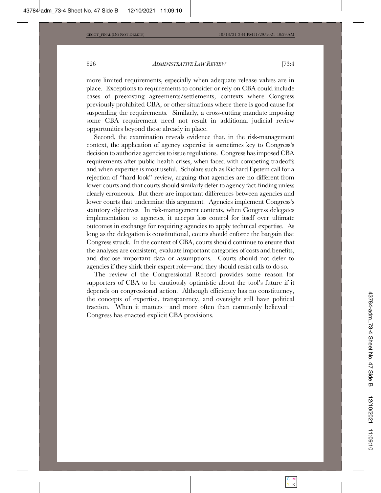more limited requirements, especially when adequate release valves are in place. Exceptions to requirements to consider or rely on CBA could include cases of preexisting agreements/settlements, contexts where Congress previously prohibited CBA, or other situations where there is good cause for suspending the requirements. Similarly, a cross-cutting mandate imposing some CBA requirement need not result in additional judicial review opportunities beyond those already in place.

Second, the examination reveals evidence that, in the risk-management context, the application of agency expertise is sometimes key to Congress's decision to authorize agencies to issue regulations. Congress has imposed CBA requirements after public health crises, when faced with competing tradeoffs and when expertise is most useful. Scholars such as Richard Epstein call for a rejection of "hard look" review, arguing that agencies are no different from lower courts and that courts should similarly defer to agency fact-finding unless clearly erroneous. But there are important differences between agencies and lower courts that undermine this argument. Agencies implement Congress's statutory objectives. In risk-management contexts, when Congress delegates implementation to agencies, it accepts less control for itself over ultimate outcomes in exchange for requiring agencies to apply technical expertise. As long as the delegation is constitutional, courts should enforce the bargain that Congress struck. In the context of CBA, courts should continue to ensure that the analyses are consistent, evaluate important categories of costs and benefits, and disclose important data or assumptions. Courts should not defer to agencies if they shirk their expert role—and they should resist calls to do so.

The review of the Congressional Record provides some reason for supporters of CBA to be cautiously optimistic about the tool's future if it depends on congressional action. Although efficiency has no constituency, the concepts of expertise, transparency, and oversight still have political traction. When it matters—and more often than commonly believed— Congress has enacted explicit CBA provisions.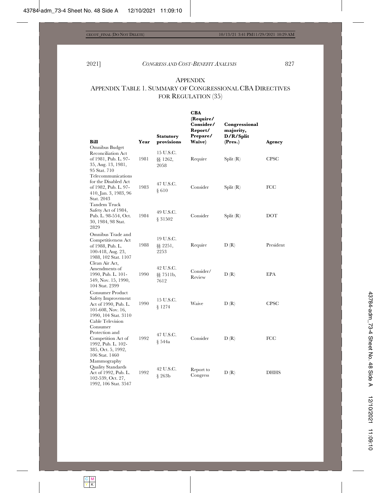## APPENDIX

## APPENDIX TABLE 1. SUMMARY OF CONGRESSIONAL CBA DIRECTIVES FOR REGULATION (35)

|                                                                                                                                           |      | <b>Statutory</b>               | CBA<br>(Require/<br>Consider/<br>Report/<br>Prepare/ | Congressional<br>majority,<br>D/R/Split |             |
|-------------------------------------------------------------------------------------------------------------------------------------------|------|--------------------------------|------------------------------------------------------|-----------------------------------------|-------------|
| Bill                                                                                                                                      | Year | provisions                     | Waive)                                               | (Pres.)                                 | Agency      |
| Omnibus Budget<br><b>Reconciliation Act</b><br>of 1981, Pub. L. 97-<br>35, Aug. 13, 1981,<br>95 Stat. 710<br>Telecommunications           | 1981 | 15 U.S.C.<br>§§ 1262,<br>2058  | Require                                              | Split(R)                                | <b>CPSC</b> |
| for the Disabled Act<br>of 1982, Pub. L. 97-<br>410, Jan. 3, 1983, 96<br>Stat. 2043<br>Tandem Truck                                       | 1983 | 47 U.S.C.<br>§ 610             | Consider                                             | Split(R)                                | FCC         |
| Safety Act of 1984,<br>Pub. L. 98-554, Oct.<br>30, 1984, 98 Stat.<br>2829                                                                 | 1984 | 49 U.S.C.<br>§ 31502           | Consider                                             | Split(R)                                | DOT         |
| Omnibus Trade and<br>Competitiveness Act<br>of 1988, Pub. L.<br>100-418, Aug. 23,<br>1988, 102 Stat. 1107                                 | 1988 | 19 U.S.C.<br>§§ 2251,<br>2253  | Require                                              | D(R)                                    | President   |
| Clean Air Act,<br>Amendments of<br>1990, Pub. L. 101-<br>549, Nov. 15, 1990,<br>104 Stat. 2399                                            | 1990 | 42 U.S.C.<br>§§ 7511b,<br>7612 | Consider/<br>Review                                  | D(R)                                    | <b>EPA</b>  |
| <b>Consumer Product</b><br>Safety Improvement<br>Act of 1990, Pub. L.<br>$101-608$ , Nov. 16,<br>1990, 104 Stat. 3110<br>Cable Television | 1990 | 15 U.S.C.<br>\$1274            | Waive                                                | D(R)                                    | <b>CPSC</b> |
| Consumer<br>Protection and<br>Competition Act of<br>1992, Pub. L. 102-<br>385, Oct. 5, 1992,<br>106 Stat. 1460                            | 1992 | 47 U.S.C.<br>§ 544a            | Consider                                             | D(R)                                    | FCC         |
| Mammography<br>Quality Standards<br>Act of 1992, Pub. L.<br>102-539, Oct. 27,<br>1992, 106 Stat. 3547                                     | 1992 | 42 U.S.C.<br>$\S$ 263b         | Report to<br>Congress                                | D(R)                                    | <b>DHHS</b> |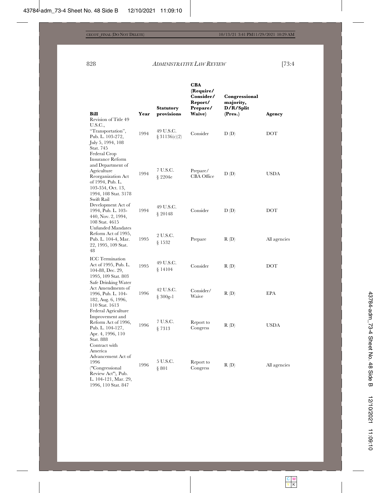|                                                                                                                                             |      | <b>Statutory</b>           | CBA<br>(Require/<br>Consider/<br>Report/<br>Prepare/ | Congressional<br>majority,<br>D/R/Split |              |
|---------------------------------------------------------------------------------------------------------------------------------------------|------|----------------------------|------------------------------------------------------|-----------------------------------------|--------------|
| Bill                                                                                                                                        | Year | provisions                 | Waive)                                               | (Pres.)                                 | Agency       |
| Revision of Title 49<br>U.S.C.,                                                                                                             |      |                            |                                                      |                                         |              |
| "Transportation",<br>Pub. L. 103-272,<br>July 5, 1994, 108<br>Stat. 745<br>Federal Crop                                                     | 1994 | 49 U.S.C.<br>\$31136(c)(2) | Consider                                             | D(D)                                    | DOT          |
| Insurance Reform<br>and Department of<br>Agriculture<br>Reorganization Act<br>of 1994, Pub. L.<br>103-354, Oct. 13,<br>1994, 108 Stat. 3178 | 1994 | 7 U.S.C.<br>$§$ 2204 $e$   | Prepare/<br><b>CBA</b> Office                        | D(D)                                    | USDA         |
| Swift Rail<br>Development Act of<br>1994, Pub. L. 103-<br>440, Nov. 2, 1994,<br>108 Stat. 4615                                              | 1994 | 49 U.S.C.<br>§ 20148       | Consider                                             | D(D)                                    | DOT          |
| Unfunded Mandates<br>Reform Act of 1995,<br>Pub. L. 104-4, Mar.<br>22, 1995, 109 Stat.<br>48                                                | 1995 | 2 U.S.C.<br>\$1532         | Prepare                                              | R(D)                                    | All agencies |
| <b>ICC</b> Termination<br>Act of 1995, Pub. L.<br>104-88, Dec. 29,<br>1995, 109 Stat. 803                                                   | 1995 | 49 U.S.C.<br>§ 14104       | Consider                                             | R(D)                                    | DOT          |
| Safe Drinking Water<br>Act Amendments of<br>1996, Pub. L. 104-<br>182, Aug. 6, 1996,<br>110 Stat. 1613                                      | 1996 | 42 U.S.C.<br>$§ 300g-1$    | Consider/<br>Waive                                   | R(D)                                    | <b>EPA</b>   |
| Federal Agriculture<br>Improvement and<br>Reform Act of 1996,<br>Pub. L. 104-127,<br>Apr. 4, 1996, 110<br>Stat. 888<br>Contract with        | 1996 | 7 U.S.C.<br>§ 7313         | Report to<br>Congress                                | R(D)                                    | <b>USDA</b>  |
| America<br>Advancement Act of<br>1996<br>("Congressional<br>Review Act"), Pub.<br>L. 104-121, Mar. 29,<br>1996, 110 Stat. 847               | 1996 | 5 U.S.C.<br>§ 801          | Report to<br>Congress                                | R(D)                                    | All agencies |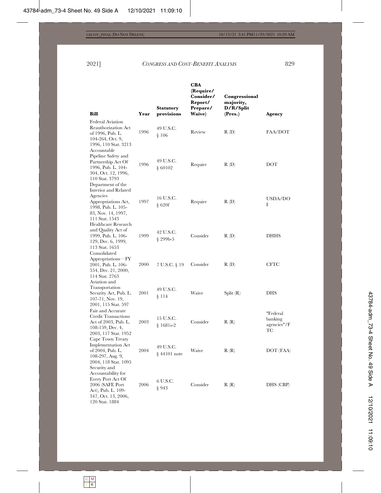| <b>Bill</b>                                                                                                                               | Year | <b>Statutory</b><br>provisions | <b>CBA</b><br>(Require/<br>Consider/<br>Report/<br>Prepare/<br>Waive) | Congressional<br>majority,<br>D/R/Split<br>(Pres.) | Agency                                   |
|-------------------------------------------------------------------------------------------------------------------------------------------|------|--------------------------------|-----------------------------------------------------------------------|----------------------------------------------------|------------------------------------------|
| <b>Federal Aviation</b><br>Reauthorization Act<br>of 1996, Pub. L.<br>104-264, Oct. 9,<br>1996, 110 Stat. 3213<br>Accountable             | 1996 | 49 U.S.C.<br>$\frac{8}{106}$   | Review                                                                | R(D)                                               | FAA/DOT                                  |
| Pipeline Safety and<br>Partnership Act Of<br>1996, Pub. L. 104-<br>304, Oct. 12, 1996,<br>110 Stat. 3793<br>Department of the             | 1996 | 49 U.S.C.<br>\$60102           | Require                                                               | R(D)                                               | DOT                                      |
| Interior and Related<br>Agencies<br>Appropriations Act,<br>1998, Pub. L. 105-<br>83, Nov. 14, 1997,<br>111 Stat. 1543                     | 1997 | 16 U.S.C.<br>$\$ 620f          | Require                                                               | R(D)                                               | USDA/DO<br>I                             |
| Healthcare Research<br>and Quality Act of<br>1999, Pub. L. 106-<br>129, Dec. 6, 1999,<br>113 Stat. 1653                                   | 1999 | 42 U.S.C.<br>§ 299b-5          | Consider                                                              | R(D)                                               | <b>DHHS</b>                              |
| Consolidated<br>Appropriations-FY<br>2001, Pub. L. 106-<br>554, Dec. 21, 2000,<br>114 Stat. 2763<br>Aviation and                          | 2000 | 7 U.S.C. § 19                  | Consider                                                              | R(D)                                               | <b>CFTC</b>                              |
| Transportation<br>Security Act, Pub. L.<br>107-71, Nov. 19,<br>2001, 115 Stat. 597                                                        | 2001 | 49 U.S.C.<br>\$114             | Waive                                                                 | Split $(R)$                                        | <b>DHS</b>                               |
| Fair and Accurate<br>Credit Transactions<br>Act of 2003, Pub. L.<br>108-159, Dec. 4,<br>2003, 117 Stat. 1952                              | 2003 | 15 U.S.C.<br>$$1681s-2$        | Consider                                                              | R(R)                                               | "Federal<br>banking<br>agencies"/F<br>TС |
| Cape Town Treaty<br><b>Implementation Act</b><br>of 2004, Pub. L.<br>108-297, Aug. 9,<br>2004, 118 Stat. 1095                             | 2004 | 49 U.S.C.<br>$§$ 44101 note    | Waive                                                                 | R(R)                                               | DOT (FAA)                                |
| Security and<br>Accountability for<br>Every Port Act Of<br>2006 (SAFE Port<br>Act), Pub. L. 109-<br>347, Oct. 13, 2006,<br>120 Stat. 1884 | 2006 | 6 U.S.C.<br>\$943              | Consider                                                              | R(R)                                               | DHS (CBP)                                |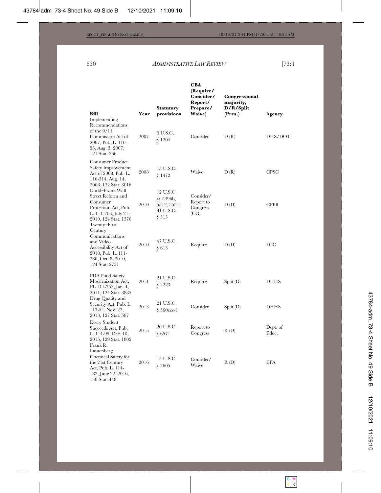| CBA       |               |
|-----------|---------------|
| (Require/ |               |
| Consider/ | Congressional |
| Renort/   | maiority.     |

|                                                                                                                                                |              | <b>Statutory</b>                                            | Report/<br>Prepare/                        | majority,<br>D/R/Split |                   |
|------------------------------------------------------------------------------------------------------------------------------------------------|--------------|-------------------------------------------------------------|--------------------------------------------|------------------------|-------------------|
| <b>Bill</b><br>Implementing<br>Recommendations<br>of the 9/11<br>Commission Act of<br>2007, Pub. L. 110-<br>53, Aug. 3, 2007,<br>121 Stat. 266 | Year<br>2007 | provisions<br>6 U.S.C.<br>§ 1204                            | Waive)<br>Consider                         | (Pres.)<br>D(R)        | Agency<br>DHS/DOT |
| <b>Consumer Product</b><br>Safety Improvement<br>Act of 2008, Pub. L.<br>110-314, Aug. 14,<br>2008, 122 Stat. 3016                             | 2008         | 15 U.S.C.<br>§ 1472                                         | Waive                                      | D(R)                   | <b>CPSC</b>       |
| Dodd-Frank Wall<br>Street Reform and<br>Consumer<br>Protection Act, Pub.<br>L. 111-203, July 21,<br>2010, 124 Stat. 1376<br>Twenty–First       | 2010         | 12 U.S.C.<br>§§ 5496b,<br>5512, 5551;<br>31 U.S.C.<br>§ 313 | Consider/<br>Report to<br>Congress<br>(CG) | D(D)                   | <b>CFPB</b>       |
| Century<br>Communications<br>and Video<br>Accessibility Act of<br>2010, Pub. L. 111-<br>260, Oct. 8, 2010,<br>124 Stat. 2751                   | 2010         | 47 U.S.C.<br>§613                                           | Require                                    | D(D)                   | FCC               |
| FDA Food Safety<br>Modernization Act,<br>PL 111-353, Jan. 4,<br>2011, 124 Stat. 3885                                                           | 2011         | 21 U.S.C.<br>§ 2223                                         | Require                                    | $Split$ (D)            | <b>DHHS</b>       |
| Drug Quality and<br>Security Act, Pub. L.<br>113-54, Nov. 27,<br>2013, 127 Stat. 587                                                           | 2013         | 21 U.S.C.<br>$§ 360eee-1$                                   | Consider                                   | $Split$ $(D)$          | <b>DHHS</b>       |
| Every Student<br>Succeeds Act, Pub.<br>L. 114-95, Dec. 10,<br>2015, 129 Stat. 1802<br>Frank R.                                                 | 2015         | 20 U.S.C.<br>§ 6571                                         | Report to<br>Congress                      | R(D)                   | Dept. of<br>Educ. |
| Lautenberg<br>Chemical Safety for<br>the 21st Century<br>Act, Pub. L. 114-<br>182, June 22, 2016,<br>130 Stat. 448                             | 2016         | 15 U.S.C.<br>§ 2605                                         | Consider/<br>Waive                         | R(D)                   | EPA               |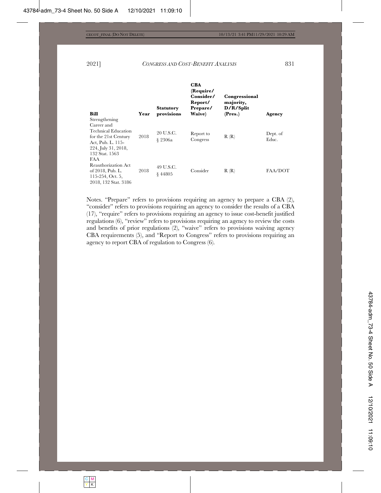| Bill                                                                                                                                     | Year | <b>Statutory</b><br>provisions | <b>CBA</b><br>(Require/<br>Consider/<br>Report/<br>Prepare/<br>Waive) | Congressional<br>majority,<br>D/R/Split<br>(Pres.) | Agency            |
|------------------------------------------------------------------------------------------------------------------------------------------|------|--------------------------------|-----------------------------------------------------------------------|----------------------------------------------------|-------------------|
| Strengthening<br>Career and<br>Technical Education<br>for the 21st Century<br>Act, Pub. L. 115-<br>224, July 31, 2018,<br>132 Stat. 1563 | 2018 | 20 U.S.C.<br>§ 2306a           | Report to<br>Congress                                                 | R(R)                                               | Dept. of<br>Educ. |
| FAA<br>Reauthorization Act<br>of 2018, Pub. L.<br>$115-254$ , Oct. 5,<br>2018, 132 Stat. 3186                                            | 2018 | 49 U.S.C.<br>\$44805           | Consider                                                              | R(R)                                               | FAA/DOT           |

Notes. "Prepare" refers to provisions requiring an agency to prepare a CBA  $(2)$ , "consider" refers to provisions requiring an agency to consider the results of a CBA  $(17)$ , "require" refers to provisions requiring an agency to issue cost-benefit justified regulations  $(6)$ , "review" refers to provisions requiring an agency to review the costs and benefits of prior regulations  $(2)$ , "waive" refers to provisions waiving agency CBA requirements (5), and "Report to Congress" refers to provisions requiring an agency to report CBA of regulation to Congress  $(6)$ .